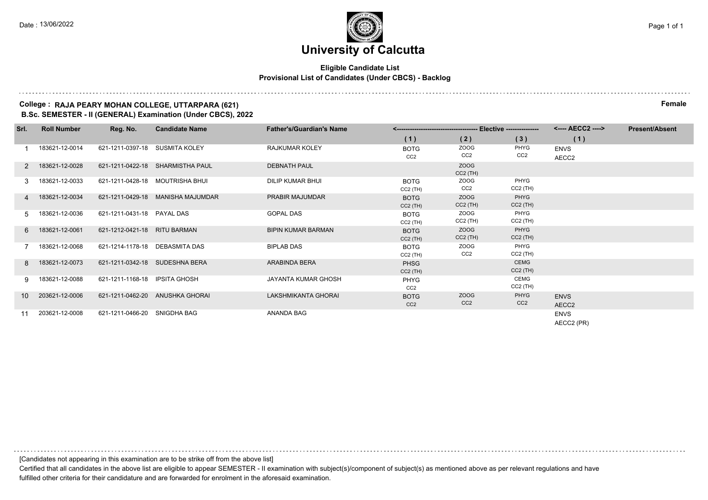#### **Eligible Candidate List Provisional List of Candidates (Under CBCS) - Backlog**

### **College : RAJA PEARY MOHAN COLLEGE, UTTARPARA (621) Female**

**B.Sc. SEMESTER - II (GENERAL) Examination (Under CBCS), 2022**

| Srl.            | <b>Roll Number</b> | Reg. No.                       | <b>Candidate Name</b>             | <b>Father's/Guardian's Name</b> |                                |                                |                           |                           | <b>Present/Absent</b> |
|-----------------|--------------------|--------------------------------|-----------------------------------|---------------------------------|--------------------------------|--------------------------------|---------------------------|---------------------------|-----------------------|
|                 |                    |                                |                                   |                                 | (1)                            | (2)                            | (3)                       | (1)                       |                       |
|                 | 183621-12-0014     | 621-1211-0397-18 SUSMITA KOLEY |                                   | <b>RAJKUMAR KOLEY</b>           | <b>BOTG</b><br>CC <sub>2</sub> | ZOOG<br>CC <sub>2</sub>        | PHYG<br>CC <sub>2</sub>   | <b>ENVS</b><br>AECC2      |                       |
| 2               | 183621-12-0028     |                                | 621-1211-0422-18 SHARMISTHA PAUL  | <b>DEBNATH PAUL</b>             |                                | ZOOG<br>$CC2$ (TH)             |                           |                           |                       |
| 3               | 183621-12-0033     |                                | 621-1211-0428-18 MOUTRISHA BHUI   | DILIP KUMAR BHUI                | <b>BOTG</b><br>$CC2$ (TH)      | <b>ZOOG</b><br>CC <sub>2</sub> | PHYG<br>$CC2$ (TH)        |                           |                       |
|                 | 183621-12-0034     |                                | 621-1211-0429-18 MANISHA MAJUMDAR | PRABIR MAJUMDAR                 | <b>BOTG</b><br>$CC2$ (TH)      | ZOOG<br>$CC2$ (TH)             | PHYG<br>$CC2$ (TH)        |                           |                       |
| 5.              | 183621-12-0036     | 621-1211-0431-18 PAYAL DAS     |                                   | <b>GOPAL DAS</b>                | <b>BOTG</b><br>$CC2$ (TH)      | ZOOG<br>$CC2$ (TH)             | PHYG<br>$CC2$ (TH)        |                           |                       |
| 6               | 183621-12-0061     | 621-1212-0421-18 RITU BARMAN   |                                   | <b>BIPIN KUMAR BARMAN</b>       | <b>BOTG</b><br>$CC2$ (TH)      | ZOOG<br>$CC2$ (TH)             | PHYG<br>$CC2$ (TH)        |                           |                       |
|                 | 183621-12-0068     | 621-1214-1178-18 DEBASMITA DAS |                                   | <b>BIPLAB DAS</b>               | <b>BOTG</b><br>$CC2$ (TH)      | <b>ZOOG</b><br>CC <sub>2</sub> | PHYG<br>$CC2$ (TH)        |                           |                       |
| 8               | 183621-12-0073     |                                | 621-1211-0342-18 SUDESHNA BERA    | ARABINDA BERA                   | <b>PHSG</b><br>$CC2$ (TH)      |                                | <b>CEMG</b><br>$CC2$ (TH) |                           |                       |
| 9.              | 183621-12-0088     | 621-1211-1168-18 IPSITA GHOSH  |                                   | JAYANTA KUMAR GHOSH             | <b>PHYG</b><br>CC <sub>2</sub> |                                | <b>CEMG</b><br>$CC2$ (TH) |                           |                       |
| 10 <sup>1</sup> | 203621-12-0006     |                                | 621-1211-0462-20 ANUSHKA GHORAI   | LAKSHMIKANTA GHORAI             | <b>BOTG</b><br>CC <sub>2</sub> | ZOOG<br>CC <sub>2</sub>        | PHYG<br>CC <sub>2</sub>   | <b>ENVS</b><br>AECC2      |                       |
| 11              | 203621-12-0008     | 621-1211-0466-20               | SNIGDHA BAG                       | ANANDA BAG                      |                                |                                |                           | <b>ENVS</b><br>AECC2 (PR) |                       |

[Candidates not appearing in this examination are to be strike off from the above list]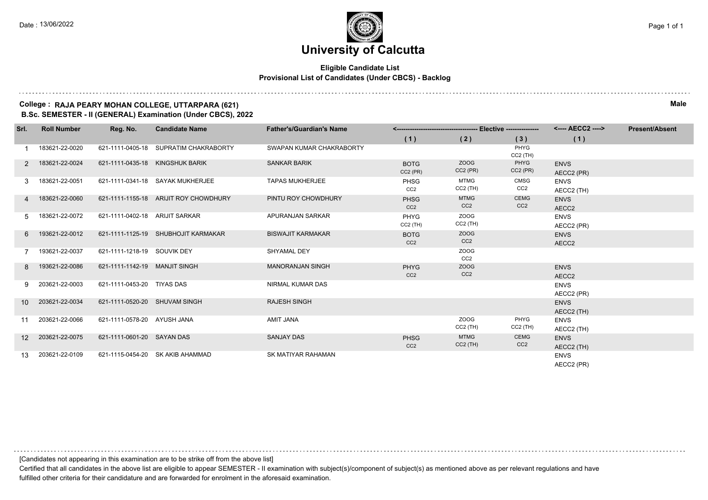#### **Eligible Candidate List Provisional List of Candidates (Under CBCS) - Backlog**

#### **College : RAJA PEARY MOHAN COLLEGE, UTTARPARA (621) Male B.Sc. SEMESTER - II (GENERAL) Examination (Under CBCS), 2022**

| Srl.            | <b>Roll Number</b> | Reg. No.                        | <b>Candidate Name</b>                 | <b>Father's/Guardian's Name</b> |                                |                                |                                | <---- AECC2 ---->         | <b>Present/Absent</b> |
|-----------------|--------------------|---------------------------------|---------------------------------------|---------------------------------|--------------------------------|--------------------------------|--------------------------------|---------------------------|-----------------------|
|                 |                    |                                 |                                       |                                 | (1)                            | (2)                            | (3)                            | (1)                       |                       |
|                 | 183621-22-0020     |                                 | 621-1111-0405-18 SUPRATIM CHAKRABORTY | SWAPAN KUMAR CHAKRABORTY        |                                |                                | PHYG<br>$CC2$ (TH)             |                           |                       |
| 2               | 183621-22-0024     | 621-1111-0435-18 KINGSHUK BARIK |                                       | <b>SANKAR BARIK</b>             | <b>BOTG</b><br>$CC2$ (PR)      | ZOOG<br>$CC2$ (PR)             | PHYG<br>$CC2$ (PR)             | <b>ENVS</b><br>AECC2 (PR) |                       |
|                 | 183621-22-0051     |                                 | 621-1111-0341-18 SAYAK MUKHERJEE      | <b>TAPAS MUKHERJEE</b>          | <b>PHSG</b><br>CC <sub>2</sub> | <b>MTMG</b><br>$CC2$ (TH)      | <b>CMSG</b><br>CC <sub>2</sub> | <b>ENVS</b><br>AECC2 (TH) |                       |
|                 | 183621-22-0060     |                                 | 621-1111-1155-18 ARIJIT ROY CHOWDHURY | PINTU ROY CHOWDHURY             | <b>PHSG</b><br>CC <sub>2</sub> | <b>MTMG</b><br>CC <sub>2</sub> | <b>CEMG</b><br>CC <sub>2</sub> | <b>ENVS</b><br>AECC2      |                       |
| 5.              | 183621-22-0072     | 621-1111-0402-18 ARIJIT SARKAR  |                                       | APURANJAN SARKAR                | PHYG<br>$CC2$ (TH)             | <b>ZOOG</b><br>$CC2$ (TH)      |                                | <b>ENVS</b><br>AECC2 (PR) |                       |
| 6               | 193621-22-0012     |                                 | 621-1111-1125-19 SHUBHOJIT KARMAKAR   | <b>BISWAJIT KARMAKAR</b>        | <b>BOTG</b><br>CC <sub>2</sub> | ZOOG<br>CC <sub>2</sub>        |                                | <b>ENVS</b><br>AECC2      |                       |
|                 | 193621-22-0037     | 621-1111-1218-19 SOUVIK DEY     |                                       | SHYAMAL DEY                     |                                | <b>ZOOG</b><br>CC <sub>2</sub> |                                |                           |                       |
| 8               | 193621-22-0086     | 621-1111-1142-19 MANJIT SINGH   |                                       | <b>MANORANJAN SINGH</b>         | <b>PHYG</b><br>CC <sub>2</sub> | <b>ZOOG</b><br>CC <sub>2</sub> |                                | <b>ENVS</b><br>AECC2      |                       |
| 9               | 203621-22-0003     | 621-1111-0453-20 TIYAS DAS      |                                       | NIRMAL KUMAR DAS                |                                |                                |                                | <b>ENVS</b><br>AECC2 (PR) |                       |
| 10              | 203621-22-0034     | 621-1111-0520-20 SHUVAM SINGH   |                                       | <b>RAJESH SINGH</b>             |                                |                                |                                | <b>ENVS</b><br>AECC2 (TH) |                       |
| 11              | 203621-22-0066     | 621-1111-0578-20 AYUSH JANA     |                                       | <b>AMIT JANA</b>                |                                | <b>ZOOG</b><br>$CC2$ (TH)      | PHYG<br>$CC2$ (TH)             | <b>ENVS</b><br>AECC2 (TH) |                       |
| 12 <sup>°</sup> | 203621-22-0075     | 621-1111-0601-20 SAYAN DAS      |                                       | <b>SANJAY DAS</b>               | <b>PHSG</b><br>CC <sub>2</sub> | <b>MTMG</b><br>$CC2$ (TH)      | <b>CEMG</b><br>CC <sub>2</sub> | <b>ENVS</b><br>AECC2 (TH) |                       |
| 13              | 203621-22-0109     |                                 | 621-1115-0454-20 SK AKIB AHAMMAD      | <b>SK MATIYAR RAHAMAN</b>       |                                |                                |                                | <b>ENVS</b><br>AECC2 (PR) |                       |

[Candidates not appearing in this examination are to be strike off from the above list]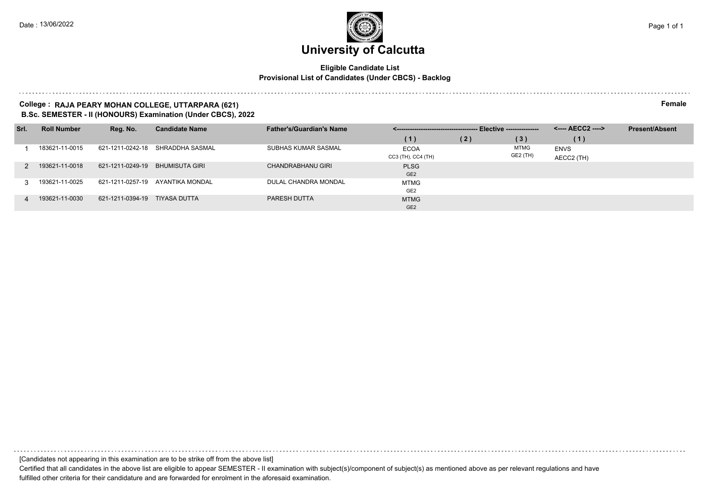#### **Eligible Candidate List Provisional List of Candidates (Under CBCS) - Backlog**

#### **College : RAJA PEARY MOHAN COLLEGE, UTTARPARA (621) Female B.Sc. SEMESTER - II (HONOURS) Examination (Under CBCS), 2022**

| Srl. | <b>Roll Number</b> | Reg. No.         | <b>Candidate Name</b> | <b>Father's/Guardian's Name</b> | ______________________________________ |     | -- Elective --------------- |             | <b>Present/Absent</b> |
|------|--------------------|------------------|-----------------------|---------------------------------|----------------------------------------|-----|-----------------------------|-------------|-----------------------|
|      |                    |                  |                       |                                 | (1)                                    | (2) | (3)                         | (1)         |                       |
|      | 183621-11-0015     | 621-1211-0242-18 | SHRADDHA SASMAL       | SUBHAS KUMAR SASMAL             | ECOA                                   |     | MTMG                        | <b>ENVS</b> |                       |
|      |                    |                  |                       |                                 | CC3 (TH), CC4 (TH)                     |     | GE2 (TH)                    | AECC2 (TH)  |                       |
|      | 193621-11-0018     | 621-1211-0249-19 | <b>BHUMISUTA GIRI</b> | CHANDRABHANU GIRI               | <b>PLSG</b>                            |     |                             |             |                       |
|      |                    |                  |                       |                                 | GE <sub>2</sub>                        |     |                             |             |                       |
|      | 193621-11-0025     | 621-1211-0257-19 | AYANTIKA MONDAL       | DULAL CHANDRA MONDAL            | <b>MTMG</b>                            |     |                             |             |                       |
|      |                    |                  |                       |                                 | GE <sub>2</sub>                        |     |                             |             |                       |
| 4    | 193621-11-0030     | 621-1211-0394-19 | <b>TIYASA DUTTA</b>   | PARESH DUTTA                    | <b>MTMG</b>                            |     |                             |             |                       |
|      |                    |                  |                       |                                 | GE <sub>2</sub>                        |     |                             |             |                       |

[Candidates not appearing in this examination are to be strike off from the above list]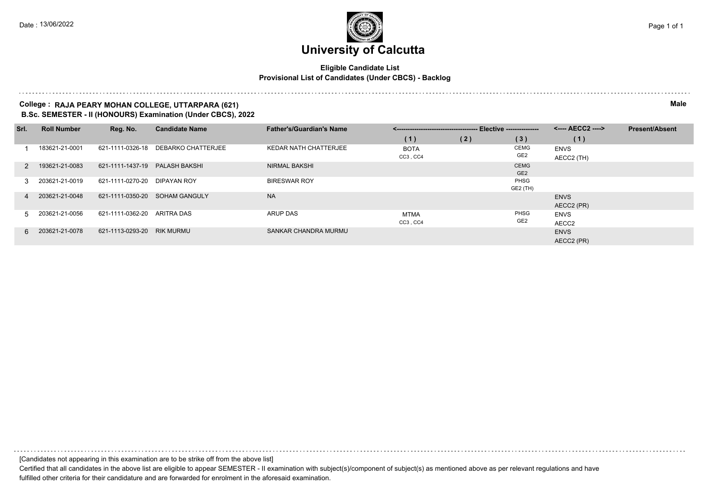#### **Eligible Candidate List Provisional List of Candidates (Under CBCS) - Backlog**

#### **College : RAJA PEARY MOHAN COLLEGE, UTTARPARA (621) Male B.Sc. SEMESTER - II (HONOURS) Examination (Under CBCS), 2022**

| Srl.        | <b>Roll Number</b> | Reg. No.         | <b>Candidate Name</b>     | <b>Father's/Guardian's Name</b> |             |     |                 | <---- AECC2 ----> | <b>Present/Absent</b> |
|-------------|--------------------|------------------|---------------------------|---------------------------------|-------------|-----|-----------------|-------------------|-----------------------|
|             |                    |                  |                           |                                 | (1)         | (2) | (3)             | (1)               |                       |
|             | 183621-21-0001     | 621-1111-0326-18 | <b>DEBARKO CHATTERJEE</b> | <b>KEDAR NATH CHATTERJEE</b>    | <b>BOTA</b> |     | <b>CEMG</b>     | <b>ENVS</b>       |                       |
|             |                    |                  |                           |                                 | CC3, CC4    |     | GE <sub>2</sub> | AECC2 (TH)        |                       |
|             | 2 193621-21-0083   | 621-1111-1437-19 | <b>PALASH BAKSHI</b>      | <b>NIRMAL BAKSHI</b>            |             |     | <b>CEMG</b>     |                   |                       |
|             |                    |                  |                           |                                 |             |     | GE <sub>2</sub> |                   |                       |
| 3 I         | 203621-21-0019     | 621-1111-0270-20 | DIPAYAN ROY               | <b>BIRESWAR ROY</b>             |             |     | PHSG            |                   |                       |
|             |                    |                  |                           |                                 |             |     | GE2 (TH)        |                   |                       |
| $\mathbf 4$ | 203621-21-0048     | 621-1111-0350-20 | SOHAM GANGULY             | <b>NA</b>                       |             |     |                 | <b>ENVS</b>       |                       |
|             |                    |                  |                           |                                 |             |     |                 | AECC2 (PR)        |                       |
| 5.          | 203621-21-0056     | 621-1111-0362-20 | ARITRA DAS                | <b>ARUP DAS</b>                 | <b>MTMA</b> |     | PHSG            | <b>ENVS</b>       |                       |
|             |                    |                  |                           |                                 | CC3, CC4    |     | GE <sub>2</sub> | AECC2             |                       |
|             | 6 203621-21-0078   | 621-1113-0293-20 | <b>RIK MURMU</b>          | SANKAR CHANDRA MURMU            |             |     |                 | <b>ENVS</b>       |                       |
|             |                    |                  |                           |                                 |             |     |                 | AECC2 (PR)        |                       |

[Candidates not appearing in this examination are to be strike off from the above list]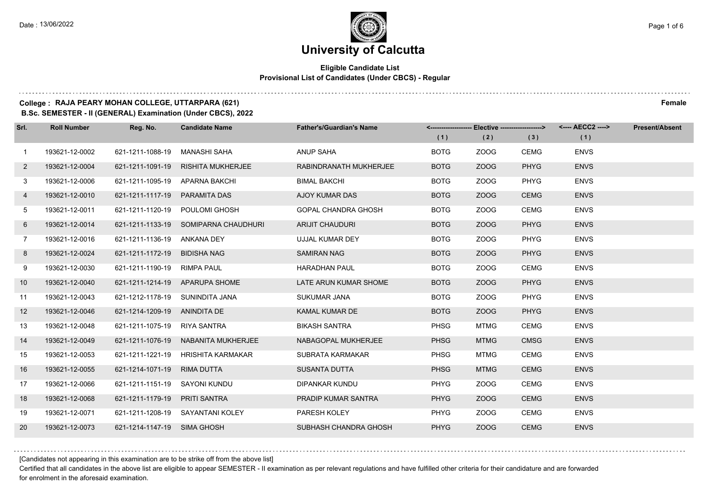#### **Eligible Candidate List Provisional List of Candidates (Under CBCS) - Regular**

#### **College : RAJA PEARY MOHAN COLLEGE, UTTARPARA (621) Female**

**B.Sc. SEMESTER - II (GENERAL) Examination (Under CBCS), 2022**

| Srl.         | <b>Roll Number</b> | Reg. No.                        | <b>Candidate Name</b>                | <b>Father's/Guardian's Name</b> |             | <------------------- Elective ------------------> |             | <---- AECC2 ----> | <b>Present/Absent</b> |
|--------------|--------------------|---------------------------------|--------------------------------------|---------------------------------|-------------|---------------------------------------------------|-------------|-------------------|-----------------------|
|              |                    |                                 |                                      |                                 | (1)         | (2)                                               | (3)         | (1)               |                       |
| $\mathbf{1}$ | 193621-12-0002     | 621-1211-1088-19                | MANASHI SAHA                         | ANUP SAHA                       | <b>BOTG</b> | ZOOG                                              | CEMG        | <b>ENVS</b>       |                       |
| $\mathbf{2}$ | 193621-12-0004     | 621-1211-1091-19                | <b>RISHITA MUKHERJEE</b>             | RABINDRANATH MUKHERJEE          | <b>BOTG</b> | ZOOG                                              | <b>PHYG</b> | <b>ENVS</b>       |                       |
| 3            | 193621-12-0006     | 621-1211-1095-19 APARNA BAKCHI  |                                      | <b>BIMAL BAKCHI</b>             | <b>BOTG</b> | ZOOG                                              | PHYG        | <b>ENVS</b>       |                       |
| 4            | 193621-12-0010     | 621-1211-1117-19 PARAMITA DAS   |                                      | AJOY KUMAR DAS                  | <b>BOTG</b> | ZOOG                                              | <b>CEMG</b> | <b>ENVS</b>       |                       |
| 5            | 193621-12-0011     | 621-1211-1120-19                | POULOMI GHOSH                        | <b>GOPAL CHANDRA GHOSH</b>      | <b>BOTG</b> | ZOOG                                              | <b>CEMG</b> | <b>ENVS</b>       |                       |
| 6            | 193621-12-0014     |                                 | 621-1211-1133-19 SOMIPARNA CHAUDHURI | <b>ARIJIT CHAUDURI</b>          | <b>BOTG</b> | ZOOG                                              | <b>PHYG</b> | <b>ENVS</b>       |                       |
| $7^{\circ}$  | 193621-12-0016     | 621-1211-1136-19 ANKANA DEY     |                                      | UJJAL KUMAR DEY                 | <b>BOTG</b> | ZOOG                                              | <b>PHYG</b> | <b>ENVS</b>       |                       |
| 8            | 193621-12-0024     | 621-1211-1172-19 BIDISHA NAG    |                                      | <b>SAMIRAN NAG</b>              | <b>BOTG</b> | ZOOG                                              | <b>PHYG</b> | <b>ENVS</b>       |                       |
| 9            | 193621-12-0030     | 621-1211-1190-19 RIMPA PAUL     |                                      | <b>HARADHAN PAUL</b>            | <b>BOTG</b> | ZOOG                                              | <b>CEMG</b> | <b>ENVS</b>       |                       |
| 10           | 193621-12-0040     |                                 | 621-1211-1214-19 APARUPA SHOME       | LATE ARUN KUMAR SHOME           | <b>BOTG</b> | ZOOG                                              | <b>PHYG</b> | <b>ENVS</b>       |                       |
| 11           | 193621-12-0043     | 621-1212-1178-19 SUNINDITA JANA |                                      | SUKUMAR JANA                    | <b>BOTG</b> | ZOOG                                              | <b>PHYG</b> | <b>ENVS</b>       |                       |
| 12           | 193621-12-0046     | 621-1214-1209-19 ANINDITA DE    |                                      | KAMAL KUMAR DE                  | <b>BOTG</b> | ZOOG                                              | <b>PHYG</b> | <b>ENVS</b>       |                       |
| 13           | 193621-12-0048     | 621-1211-1075-19 RIYA SANTRA    |                                      | <b>BIKASH SANTRA</b>            | <b>PHSG</b> | <b>MTMG</b>                                       | <b>CEMG</b> | <b>ENVS</b>       |                       |
| 14           | 193621-12-0049     |                                 | 621-1211-1076-19 NABANITA MUKHERJEE  | NABAGOPAL MUKHERJEE             | <b>PHSG</b> | <b>MTMG</b>                                       | <b>CMSG</b> | <b>ENVS</b>       |                       |
| 15           | 193621-12-0053     |                                 | 621-1211-1221-19 HRISHITA KARMAKAR   | SUBRATA KARMAKAR                | <b>PHSG</b> | <b>MTMG</b>                                       | <b>CEMG</b> | <b>ENVS</b>       |                       |
| 16           | 193621-12-0055     | 621-1214-1071-19 RIMA DUTTA     |                                      | <b>SUSANTA DUTTA</b>            | <b>PHSG</b> | <b>MTMG</b>                                       | <b>CEMG</b> | <b>ENVS</b>       |                       |
| 17           | 193621-12-0066     | 621-1211-1151-19                | SAYONI KUNDU                         | DIPANKAR KUNDU                  | <b>PHYG</b> | ZOOG                                              | <b>CEMG</b> | <b>ENVS</b>       |                       |
| 18           | 193621-12-0068     | 621-1211-1179-19                | PRITI SANTRA                         | PRADIP KUMAR SANTRA             | <b>PHYG</b> | ZOOG                                              | <b>CEMG</b> | <b>ENVS</b>       |                       |
| 19           | 193621-12-0071     |                                 | 621-1211-1208-19 SAYANTANI KOLEY     | PARESH KOLEY                    | <b>PHYG</b> | ZOOG                                              | <b>CEMG</b> | <b>ENVS</b>       |                       |
| 20           | 193621-12-0073     | 621-1214-1147-19 SIMA GHOSH     |                                      | SUBHASH CHANDRA GHOSH           | <b>PHYG</b> | ZOOG                                              | <b>CEMG</b> | <b>ENVS</b>       |                       |

[Candidates not appearing in this examination are to be strike off from the above list]

Certified that all candidates in the above list are eligible to appear SEMESTER - II examination as per relevant regulations and have fulfilled other criteria for their candidature and are forwarded for enrolment in the aforesaid examination.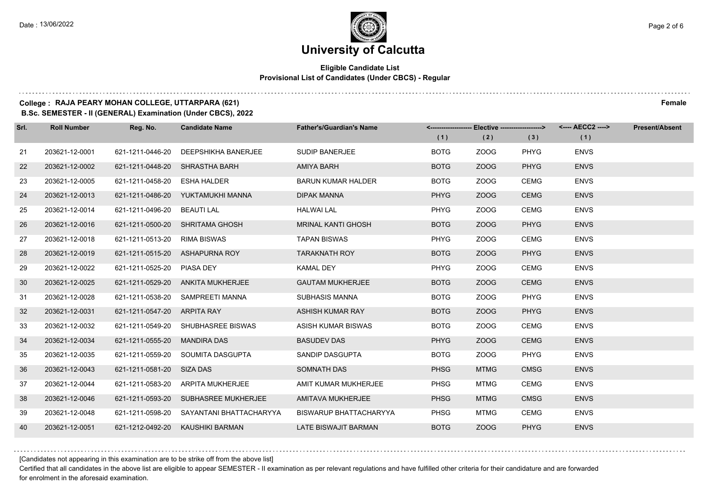#### **Eligible Candidate List Provisional List of Candidates (Under CBCS) - Regular**

### **College : RAJA PEARY MOHAN COLLEGE, UTTARPARA (621) Female**

**B.Sc. SEMESTER - II (GENERAL) Examination (Under CBCS), 2022**

| Srl. | <b>Roll Number</b> | Reg. No.                     | <b>Candidate Name</b>                | <b>Father's/Guardian's Name</b> |             | <-------------------- Elective -------------------> |             | <---- AECC2 ----> | <b>Present/Absent</b> |
|------|--------------------|------------------------------|--------------------------------------|---------------------------------|-------------|-----------------------------------------------------|-------------|-------------------|-----------------------|
|      |                    |                              |                                      |                                 | (1)         | (2)                                                 | (3)         | (1)               |                       |
| 21   | 203621-12-0001     | 621-1211-0446-20             | DEEPSHIKHA BANERJEE                  | <b>SUDIP BANERJEE</b>           | <b>BOTG</b> | ZOOG                                                | <b>PHYG</b> | <b>ENVS</b>       |                       |
| 22   | 203621-12-0002     | 621-1211-0448-20             | SHRASTHA BARH                        | AMIYA BARH                      | <b>BOTG</b> | ZOOG                                                | <b>PHYG</b> | <b>ENVS</b>       |                       |
| 23   | 203621-12-0005     | 621-1211-0458-20 ESHA HALDER |                                      | <b>BARUN KUMAR HALDER</b>       | <b>BOTG</b> | ZOOG                                                | <b>CEMG</b> | <b>ENVS</b>       |                       |
| 24   | 203621-12-0013     |                              | 621-1211-0486-20 YUKTAMUKHI MANNA    | <b>DIPAK MANNA</b>              | <b>PHYG</b> | ZOOG                                                | <b>CEMG</b> | <b>ENVS</b>       |                       |
| 25   | 203621-12-0014     | 621-1211-0496-20             | BEAUTI LAL                           | <b>HALWAI LAL</b>               | <b>PHYG</b> | ZOOG                                                | <b>CEMG</b> | <b>ENVS</b>       |                       |
| 26   | 203621-12-0016     |                              | 621-1211-0500-20 SHRITAMA GHOSH      | <b>MRINAL KANTI GHOSH</b>       | <b>BOTG</b> | ZOOG                                                | <b>PHYG</b> | <b>ENVS</b>       |                       |
| 27   | 203621-12-0018     | 621-1211-0513-20 RIMA BISWAS |                                      | <b>TAPAN BISWAS</b>             | <b>PHYG</b> | ZOOG                                                | <b>CEMG</b> | <b>ENVS</b>       |                       |
| 28   | 203621-12-0019     |                              | 621-1211-0515-20 ASHAPURNA ROY       | <b>TARAKNATH ROY</b>            | <b>BOTG</b> | ZOOG                                                | <b>PHYG</b> | <b>ENVS</b>       |                       |
| 29   | 203621-12-0022     | 621-1211-0525-20 PIASA DEY   |                                      | <b>KAMAL DEY</b>                | <b>PHYG</b> | ZOOG                                                | <b>CEMG</b> | <b>ENVS</b>       |                       |
| 30   | 203621-12-0025     |                              | 621-1211-0529-20 ANKITA MUKHERJEE    | <b>GAUTAM MUKHERJEE</b>         | <b>BOTG</b> | ZOOG                                                | <b>CEMG</b> | <b>ENVS</b>       |                       |
| 31   | 203621-12-0028     |                              | 621-1211-0538-20 SAMPREETI MANNA     | <b>SUBHASIS MANNA</b>           | <b>BOTG</b> | ZOOG                                                | PHYG        | <b>ENVS</b>       |                       |
| 32   | 203621-12-0031     | 621-1211-0547-20 ARPITA RAY  |                                      | ASHISH KUMAR RAY                | <b>BOTG</b> | ZOOG                                                | <b>PHYG</b> | <b>ENVS</b>       |                       |
| 33   | 203621-12-0032     |                              | 621-1211-0549-20 SHUBHASREE BISWAS   | ASISH KUMAR BISWAS              | <b>BOTG</b> | ZOOG                                                | <b>CEMG</b> | <b>ENVS</b>       |                       |
| 34   | 203621-12-0034     | 621-1211-0555-20             | <b>MANDIRA DAS</b>                   | <b>BASUDEV DAS</b>              | <b>PHYG</b> | ZOOG                                                | <b>CEMG</b> | <b>ENVS</b>       |                       |
| 35   | 203621-12-0035     |                              | 621-1211-0559-20 SOUMITA DASGUPTA    | SANDIP DASGUPTA                 | <b>BOTG</b> | ZOOG                                                | PHYG        | <b>ENVS</b>       |                       |
| 36   | 203621-12-0043     | 621-1211-0581-20 SIZA DAS    |                                      | SOMNATH DAS                     | <b>PHSG</b> | <b>MTMG</b>                                         | <b>CMSG</b> | <b>ENVS</b>       |                       |
| 37   | 203621-12-0044     | 621-1211-0583-20             | ARPITA MUKHERJEE                     | AMIT KUMAR MUKHERJEE            | <b>PHSG</b> | <b>MTMG</b>                                         | <b>CEMG</b> | <b>ENVS</b>       |                       |
| 38   | 203621-12-0046     |                              | 621-1211-0593-20 SUBHASREE MUKHERJEE | AMITAVA MUKHERJEE               | <b>PHSG</b> | <b>MTMG</b>                                         | <b>CMSG</b> | <b>ENVS</b>       |                       |
| 39   | 203621-12-0048     | 621-1211-0598-20             | SAYANTANI BHATTACHARYYA              | <b>BISWARUP BHATTACHARYYA</b>   | <b>PHSG</b> | <b>MTMG</b>                                         | <b>CEMG</b> | <b>ENVS</b>       |                       |
| 40   | 203621-12-0051     | 621-1212-0492-20             | KAUSHIKI BARMAN                      | LATE BISWAJIT BARMAN            | <b>BOTG</b> | ZOOG                                                | <b>PHYG</b> | <b>ENVS</b>       |                       |

[Candidates not appearing in this examination are to be strike off from the above list]

Certified that all candidates in the above list are eligible to appear SEMESTER - II examination as per relevant regulations and have fulfilled other criteria for their candidature and are forwarded for enrolment in the aforesaid examination.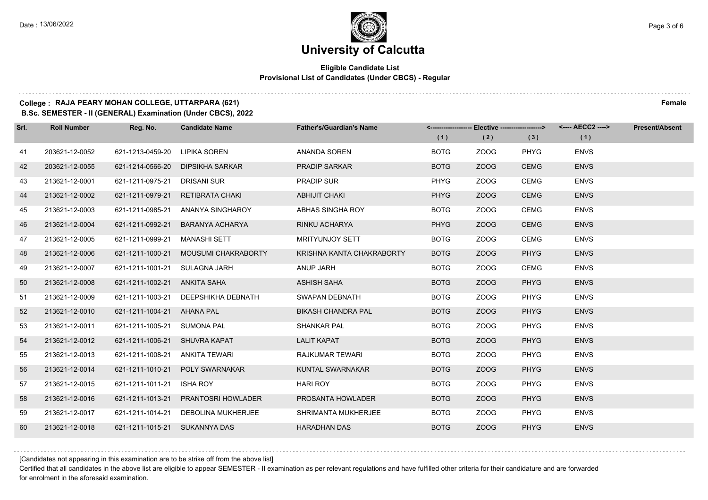$1.111$ 

## **University of Calcutta**

#### **Eligible Candidate List Provisional List of Candidates (Under CBCS) - Regular**

### **College : RAJA PEARY MOHAN COLLEGE, UTTARPARA (621) Female**

**B.Sc. SEMESTER - II (GENERAL) Examination (Under CBCS), 2022**

| Srl. | <b>Roll Number</b> | Reg. No.                      | <b>Candidate Name</b>               | <b>Father's/Guardian's Name</b> |             | <------------------- Elective ------------------> |             | <---- AECC2 ----> | <b>Present/Absent</b> |
|------|--------------------|-------------------------------|-------------------------------------|---------------------------------|-------------|---------------------------------------------------|-------------|-------------------|-----------------------|
|      |                    |                               |                                     |                                 | (1)         | (2)                                               | (3)         | (1)               |                       |
| 41   | 203621-12-0052     | 621-1213-0459-20              | LIPIKA SOREN                        | ANANDA SOREN                    | <b>BOTG</b> | ZOOG                                              | PHYG        | <b>ENVS</b>       |                       |
| 42   | 203621-12-0055     | 621-1214-0566-20              | DIPSIKHA SARKAR                     | <b>PRADIP SARKAR</b>            | <b>BOTG</b> | ZOOG                                              | <b>CEMG</b> | <b>ENVS</b>       |                       |
| 43   | 213621-12-0001     | 621-1211-0975-21              | DRISANI SUR                         | <b>PRADIP SUR</b>               | <b>PHYG</b> | ZOOG                                              | <b>CEMG</b> | <b>ENVS</b>       |                       |
| 44   | 213621-12-0002     | 621-1211-0979-21              | RETIBRATA CHAKI                     | <b>ABHIJIT CHAKI</b>            | <b>PHYG</b> | ZOOG                                              | <b>CEMG</b> | <b>ENVS</b>       |                       |
| 45   | 213621-12-0003     | 621-1211-0985-21              | ANANYA SINGHAROY                    | ABHAS SINGHA ROY                | <b>BOTG</b> | ZOOG                                              | <b>CEMG</b> | <b>ENVS</b>       |                       |
| 46   | 213621-12-0004     | 621-1211-0992-21              | BARANYA ACHARYA                     | RINKU ACHARYA                   | <b>PHYG</b> | ZOOG                                              | <b>CEMG</b> | <b>ENVS</b>       |                       |
| 47   | 213621-12-0005     | 621-1211-0999-21              | MANASHI SETT                        | <b>MRITYUNJOY SETT</b>          | <b>BOTG</b> | ZOOG                                              | <b>CEMG</b> | <b>ENVS</b>       |                       |
| 48   | 213621-12-0006     | 621-1211-1000-21              | MOUSUMI CHAKRABORTY                 | KRISHNA KANTA CHAKRABORTY       | <b>BOTG</b> | ZOOG                                              | <b>PHYG</b> | <b>ENVS</b>       |                       |
| 49   | 213621-12-0007     | 621-1211-1001-21              | SULAGNA JARH                        | ANUP JARH                       | <b>BOTG</b> | ZOOG                                              | <b>CEMG</b> | <b>ENVS</b>       |                       |
| 50   | 213621-12-0008     | 621-1211-1002-21              | ANKITA SAHA                         | <b>ASHISH SAHA</b>              | <b>BOTG</b> | ZOOG                                              | <b>PHYG</b> | <b>ENVS</b>       |                       |
| 51   | 213621-12-0009     |                               | 621-1211-1003-21 DEEPSHIKHA DEBNATH | SWAPAN DEBNATH                  | <b>BOTG</b> | ZOOG                                              | PHYG        | <b>ENVS</b>       |                       |
| 52   | 213621-12-0010     | 621-1211-1004-21 AHANA PAL    |                                     | <b>BIKASH CHANDRA PAL</b>       | <b>BOTG</b> | ZOOG                                              | <b>PHYG</b> | <b>ENVS</b>       |                       |
| 53   | 213621-12-0011     | 621-1211-1005-21              | <b>SUMONA PAL</b>                   | <b>SHANKAR PAL</b>              | <b>BOTG</b> | ZOOG                                              | <b>PHYG</b> | <b>ENVS</b>       |                       |
| 54   | 213621-12-0012     | 621-1211-1006-21 SHUVRA KAPAT |                                     | <b>LALIT KAPAT</b>              | <b>BOTG</b> | ZOOG                                              | <b>PHYG</b> | <b>ENVS</b>       |                       |
| 55   | 213621-12-0013     | 621-1211-1008-21              | ANKITA TEWARI                       | RAJKUMAR TEWARI                 | <b>BOTG</b> | ZOOG                                              | PHYG        | <b>ENVS</b>       |                       |
| 56   | 213621-12-0014     | 621-1211-1010-21              | <b>POLY SWARNAKAR</b>               | KUNTAL SWARNAKAR                | <b>BOTG</b> | ZOOG                                              | <b>PHYG</b> | <b>ENVS</b>       |                       |
| 57   | 213621-12-0015     | 621-1211-1011-21              | <b>ISHA ROY</b>                     | <b>HARI ROY</b>                 | <b>BOTG</b> | ZOOG                                              | <b>PHYG</b> | <b>ENVS</b>       |                       |
| 58   | 213621-12-0016     | 621-1211-1013-21              | <b>PRANTOSRI HOWLADER</b>           | PROSANTA HOWLADER               | <b>BOTG</b> | ZOOG                                              | <b>PHYG</b> | <b>ENVS</b>       |                       |
| 59   | 213621-12-0017     |                               | 621-1211-1014-21 DEBOLINA MUKHERJEE | SHRIMANTA MUKHERJEE             | <b>BOTG</b> | ZOOG                                              | PHYG        | <b>ENVS</b>       |                       |
| 60   | 213621-12-0018     | 621-1211-1015-21 SUKANNYA DAS |                                     | <b>HARADHAN DAS</b>             | <b>BOTG</b> | ZOOG                                              | <b>PHYG</b> | <b>ENVS</b>       |                       |

[Candidates not appearing in this examination are to be strike off from the above list]

Certified that all candidates in the above list are eligible to appear SEMESTER - II examination as per relevant regulations and have fulfilled other criteria for their candidature and are forwarded for enrolment in the aforesaid examination.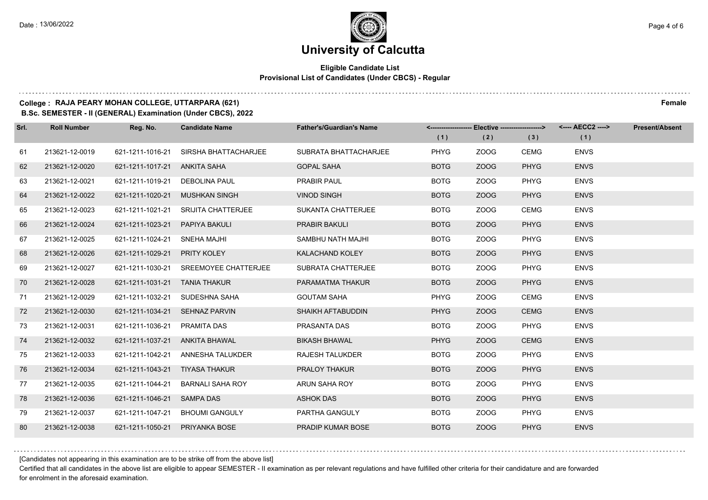#### **Eligible Candidate List Provisional List of Candidates (Under CBCS) - Regular**

### **College : RAJA PEARY MOHAN COLLEGE, UTTARPARA (621) Female**

**B.Sc. SEMESTER - II (GENERAL) Examination (Under CBCS), 2022**

| Srl. | <b>Roll Number</b> | Reg. No.                       | <b>Candidate Name</b>          | <b>Father's/Guardian's Name</b> |             | <-------------------- Elective -------------------> |             | <---- AECC2 ----> | <b>Present/Absent</b> |
|------|--------------------|--------------------------------|--------------------------------|---------------------------------|-------------|-----------------------------------------------------|-------------|-------------------|-----------------------|
|      |                    |                                |                                |                                 | (1)         | (2)                                                 | (3)         | (1)               |                       |
| 61   | 213621-12-0019     | 621-1211-1016-21               | SIRSHA BHATTACHARJEE           | SUBRATA BHATTACHARJEE           | <b>PHYG</b> | ZOOG                                                | <b>CEMG</b> | <b>ENVS</b>       |                       |
| 62   | 213621-12-0020     | 621-1211-1017-21 ANKITA SAHA   |                                | <b>GOPAL SAHA</b>               | <b>BOTG</b> | ZOOG                                                | <b>PHYG</b> | <b>ENVS</b>       |                       |
| 63   | 213621-12-0021     | 621-1211-1019-21 DEBOLINA PAUL |                                | <b>PRABIR PAUL</b>              | <b>BOTG</b> | ZOOG                                                | PHYG        | <b>ENVS</b>       |                       |
| 64   | 213621-12-0022     | 621-1211-1020-21               | MUSHKAN SINGH                  | <b>VINOD SINGH</b>              | <b>BOTG</b> | ZOOG                                                | <b>PHYG</b> | <b>ENVS</b>       |                       |
| 65   | 213621-12-0023     | 621-1211-1021-21               | <b>SRIJITA CHATTERJEE</b>      | SUKANTA CHATTERJEE              | <b>BOTG</b> | ZOOG                                                | <b>CEMG</b> | <b>ENVS</b>       |                       |
| 66   | 213621-12-0024     | 621-1211-1023-21               | PAPIYA BAKULI                  | <b>PRABIR BAKULI</b>            | <b>BOTG</b> | ZOOG                                                | <b>PHYG</b> | <b>ENVS</b>       |                       |
| 67   | 213621-12-0025     | 621-1211-1024-21               | SNEHA MAJHI                    | SAMBHU NATH MAJHI               | <b>BOTG</b> | ZOOG                                                | PHYG        | <b>ENVS</b>       |                       |
| 68   | 213621-12-0026     | 621-1211-1029-21               | <b>PRITY KOLEY</b>             | KALACHAND KOLEY                 | <b>BOTG</b> | ZOOG                                                | <b>PHYG</b> | <b>ENVS</b>       |                       |
| 69   | 213621-12-0027     | 621-1211-1030-21               | SREEMOYEE CHATTERJEE           | SUBRATA CHATTERJEE              | <b>BOTG</b> | ZOOG                                                | PHYG        | <b>ENVS</b>       |                       |
| 70   | 213621-12-0028     | 621-1211-1031-21 TANIA THAKUR  |                                | PARAMATMA THAKUR                | <b>BOTG</b> | ZOOG                                                | <b>PHYG</b> | <b>ENVS</b>       |                       |
| 71   | 213621-12-0029     |                                | 621-1211-1032-21 SUDESHNA SAHA | <b>GOUTAM SAHA</b>              | <b>PHYG</b> | ZOOG                                                | <b>CEMG</b> | <b>ENVS</b>       |                       |
| 72   | 213621-12-0030     | 621-1211-1034-21               | <b>SEHNAZ PARVIN</b>           | SHAIKH AFTABUDDIN               | <b>PHYG</b> | ZOOG                                                | <b>CEMG</b> | <b>ENVS</b>       |                       |
| 73   | 213621-12-0031     | 621-1211-1036-21               | PRAMITA DAS                    | PRASANTA DAS                    | <b>BOTG</b> | ZOOG                                                | <b>PHYG</b> | <b>ENVS</b>       |                       |
| 74   | 213621-12-0032     | 621-1211-1037-21               | ANKITA BHAWAL                  | <b>BIKASH BHAWAL</b>            | <b>PHYG</b> | ZOOG                                                | <b>CEMG</b> | <b>ENVS</b>       |                       |
| 75   | 213621-12-0033     | 621-1211-1042-21               | ANNESHA TALUKDER               | <b>RAJESH TALUKDER</b>          | <b>BOTG</b> | ZOOG                                                | PHYG        | <b>ENVS</b>       |                       |
| 76   | 213621-12-0034     | 621-1211-1043-21 TIYASA THAKUR |                                | PRALOY THAKUR                   | <b>BOTG</b> | ZOOG                                                | <b>PHYG</b> | <b>ENVS</b>       |                       |
| 77   | 213621-12-0035     | 621-1211-1044-21               | <b>BARNALI SAHA ROY</b>        | ARUN SAHA ROY                   | <b>BOTG</b> | ZOOG                                                | <b>PHYG</b> | <b>ENVS</b>       |                       |
| 78   | 213621-12-0036     | 621-1211-1046-21               | <b>SAMPA DAS</b>               | <b>ASHOK DAS</b>                | <b>BOTG</b> | ZOOG                                                | <b>PHYG</b> | <b>ENVS</b>       |                       |
| 79   | 213621-12-0037     | 621-1211-1047-21               | <b>BHOUMI GANGULY</b>          | PARTHA GANGULY                  | <b>BOTG</b> | ZOOG                                                | PHYG        | <b>ENVS</b>       |                       |
| 80   | 213621-12-0038     | 621-1211-1050-21               | PRIYANKA BOSE                  | PRADIP KUMAR BOSE               | <b>BOTG</b> | ZOOG                                                | <b>PHYG</b> | <b>ENVS</b>       |                       |

[Candidates not appearing in this examination are to be strike off from the above list]

Certified that all candidates in the above list are eligible to appear SEMESTER - II examination as per relevant regulations and have fulfilled other criteria for their candidature and are forwarded for enrolment in the aforesaid examination.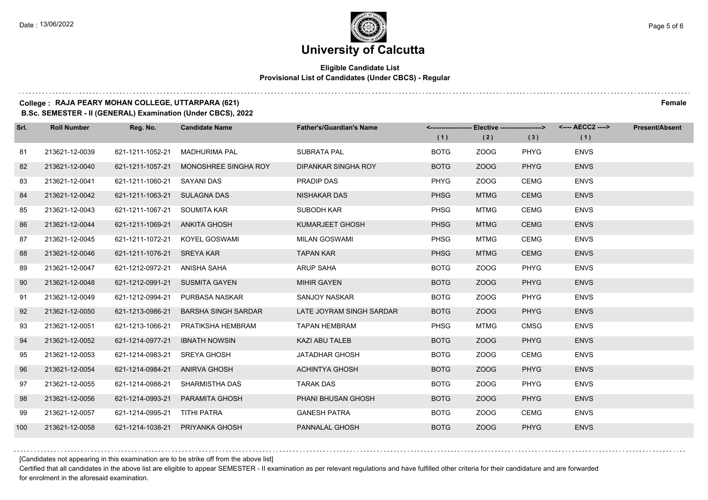#### **Eligible Candidate List Provisional List of Candidates (Under CBCS) - Regular**

#### **College : RAJA PEARY MOHAN COLLEGE, UTTARPARA (621) Female**

**B.Sc. SEMESTER - II (GENERAL) Examination (Under CBCS), 2022**

| Srl. | <b>Roll Number</b> | Reg. No.                     | <b>Candidate Name</b>          | <b>Father's/Guardian's Name</b> |             | <-------------------- Elective -------------------> |             | <---- AECC2 ----> | <b>Present/Absent</b> |
|------|--------------------|------------------------------|--------------------------------|---------------------------------|-------------|-----------------------------------------------------|-------------|-------------------|-----------------------|
|      |                    |                              |                                |                                 | (1)         | (2)                                                 | (3)         | (1)               |                       |
| 81   | 213621-12-0039     | 621-1211-1052-21             | <b>MADHURIMA PAL</b>           | SUBRATA PAL                     | <b>BOTG</b> | ZOOG                                                | <b>PHYG</b> | <b>ENVS</b>       |                       |
| 82   | 213621-12-0040     | 621-1211-1057-21             | MONOSHREE SINGHA ROY           | <b>DIPANKAR SINGHA ROY</b>      | <b>BOTG</b> | ZOOG                                                | <b>PHYG</b> | <b>ENVS</b>       |                       |
| 83   | 213621-12-0041     | 621-1211-1060-21 SAYANI DAS  |                                | PRADIP DAS                      | <b>PHYG</b> | ZOOG                                                | <b>CEMG</b> | <b>ENVS</b>       |                       |
| 84   | 213621-12-0042     | 621-1211-1063-21 SULAGNA DAS |                                | NISHAKAR DAS                    | <b>PHSG</b> | <b>MTMG</b>                                         | <b>CEMG</b> | <b>ENVS</b>       |                       |
| 85   | 213621-12-0043     | 621-1211-1067-21             | SOUMITA KAR                    | SUBODH KAR                      | <b>PHSG</b> | MTMG                                                | <b>CEMG</b> | <b>ENVS</b>       |                       |
| 86   | 213621-12-0044     | 621-1211-1069-21             | ANKITA GHOSH                   | KUMARJEET GHOSH                 | <b>PHSG</b> | <b>MTMG</b>                                         | <b>CEMG</b> | <b>ENVS</b>       |                       |
| 87   | 213621-12-0045     |                              | 621-1211-1072-21 KOYEL GOSWAMI | <b>MILAN GOSWAMI</b>            | <b>PHSG</b> | <b>MTMG</b>                                         | <b>CEMG</b> | <b>ENVS</b>       |                       |
| 88   | 213621-12-0046     | 621-1211-1076-21 SREYA KAR   |                                | <b>TAPAN KAR</b>                | <b>PHSG</b> | <b>MTMG</b>                                         | <b>CEMG</b> | <b>ENVS</b>       |                       |
| 89   | 213621-12-0047     | 621-1212-0972-21             | ANISHA SAHA                    | <b>ARUP SAHA</b>                | <b>BOTG</b> | ZOOG                                                | <b>PHYG</b> | <b>ENVS</b>       |                       |
| 90   | 213621-12-0048     | 621-1212-0991-21             | <b>SUSMITA GAYEN</b>           | <b>MIHIR GAYEN</b>              | <b>BOTG</b> | ZOOG                                                | <b>PHYG</b> | <b>ENVS</b>       |                       |
| 91   | 213621-12-0049     | 621-1212-0994-21             | PURBASA NASKAR                 | SANJOY NASKAR                   | <b>BOTG</b> | ZOOG                                                | <b>PHYG</b> | <b>ENVS</b>       |                       |
| 92   | 213621-12-0050     | 621-1213-0986-21             | <b>BARSHA SINGH SARDAR</b>     | LATE JOYRAM SINGH SARDAR        | <b>BOTG</b> | ZOOG                                                | <b>PHYG</b> | <b>ENVS</b>       |                       |
| 93   | 213621-12-0051     | 621-1213-1066-21             | PRATIKSHA HEMBRAM              | <b>TAPAN HEMBRAM</b>            | <b>PHSG</b> | <b>MTMG</b>                                         | <b>CMSG</b> | <b>ENVS</b>       |                       |
| 94   | 213621-12-0052     | 621-1214-0977-21             | <b>IBNATH NOWSIN</b>           | <b>KAZI ABU TALEB</b>           | <b>BOTG</b> | ZOOG                                                | <b>PHYG</b> | <b>ENVS</b>       |                       |
| 95   | 213621-12-0053     | 621-1214-0983-21             | <b>SREYA GHOSH</b>             | JATADHAR GHOSH                  | <b>BOTG</b> | ZOOG                                                | <b>CEMG</b> | <b>ENVS</b>       |                       |
| 96   | 213621-12-0054     | 621-1214-0984-21             | ANIRVA GHOSH                   | <b>ACHINTYA GHOSH</b>           | <b>BOTG</b> | ZOOG                                                | <b>PHYG</b> | <b>ENVS</b>       |                       |
| 97   | 213621-12-0055     | 621-1214-0988-21             | SHARMISTHA DAS                 | <b>TARAK DAS</b>                | <b>BOTG</b> | ZOOG                                                | <b>PHYG</b> | <b>ENVS</b>       |                       |
| 98   | 213621-12-0056     | 621-1214-0993-21             | PARAMITA GHOSH                 | PHANI BHUSAN GHOSH              | <b>BOTG</b> | ZOOG                                                | <b>PHYG</b> | <b>ENVS</b>       |                       |
| 99   | 213621-12-0057     | 621-1214-0995-21 TITHI PATRA |                                | <b>GANESH PATRA</b>             | <b>BOTG</b> | ZOOG                                                | <b>CEMG</b> | <b>ENVS</b>       |                       |
| 100  | 213621-12-0058     | 621-1214-1038-21             | PRIYANKA GHOSH                 | PANNALAL GHOSH                  | <b>BOTG</b> | ZOOG                                                | <b>PHYG</b> | <b>ENVS</b>       |                       |

[Candidates not appearing in this examination are to be strike off from the above list]

Certified that all candidates in the above list are eligible to appear SEMESTER - II examination as per relevant regulations and have fulfilled other criteria for their candidature and are forwarded for enrolment in the aforesaid examination.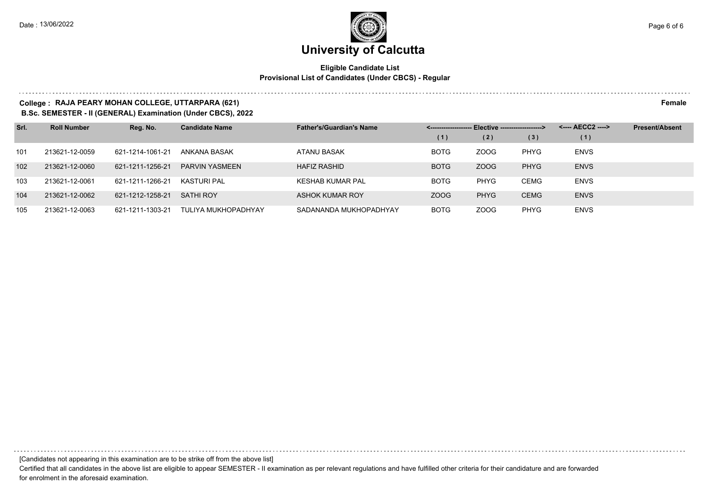#### **Eligible Candidate List Provisional List of Candidates (Under CBCS) - Regular**

#### **College : RAJA PEARY MOHAN COLLEGE, UTTARPARA (621) Female**

**B.Sc. SEMESTER - II (GENERAL) Examination (Under CBCS), 2022**

| Srl. | <b>Roll Number</b> | Reg. No.         | <b>Candidate Name</b> | <b>Father's/Guardian's Name</b> |             | - Elective -------------------> |             | <---- AECC2 ----> | <b>Present/Absent</b> |
|------|--------------------|------------------|-----------------------|---------------------------------|-------------|---------------------------------|-------------|-------------------|-----------------------|
|      |                    |                  |                       |                                 | (1)         | (2)                             | (3)         | (1)               |                       |
| 101  | 213621-12-0059     | 621-1214-1061-21 | ANKANA BASAK          | ATANU BASAK                     | <b>BOTG</b> | ZOOG                            | <b>PHYG</b> | <b>ENVS</b>       |                       |
| 102  | 213621-12-0060     | 621-1211-1256-21 | <b>PARVIN YASMEEN</b> | <b>HAFIZ RASHID</b>             | <b>BOTG</b> | ZOOG                            | <b>PHYG</b> | <b>ENVS</b>       |                       |
| 103  | 213621-12-0061     | 621-1211-1266-21 | KASTURI PAL           | KESHAB KUMAR PAL                | <b>BOTG</b> | <b>PHYG</b>                     | <b>CEMG</b> | <b>ENVS</b>       |                       |
| 104  | 213621-12-0062     | 621-1212-1258-21 | <b>SATHI ROY</b>      | <b>ASHOK KUMAR ROY</b>          | ZOOG        | <b>PHYG</b>                     | <b>CEMG</b> | <b>ENVS</b>       |                       |
| 105  | 213621-12-0063     | 621-1211-1303-21 | TULIYA MUKHOPADHYAY   | SADANANDA MUKHOPADHYAY          | <b>BOTG</b> | ZOOG                            | <b>PHYG</b> | <b>ENVS</b>       |                       |

[Candidates not appearing in this examination are to be strike off from the above list]

Certified that all candidates in the above list are eligible to appear SEMESTER - II examination as per relevant regulations and have fulfilled other criteria for their candidature and are forwarded for enrolment in the aforesaid examination.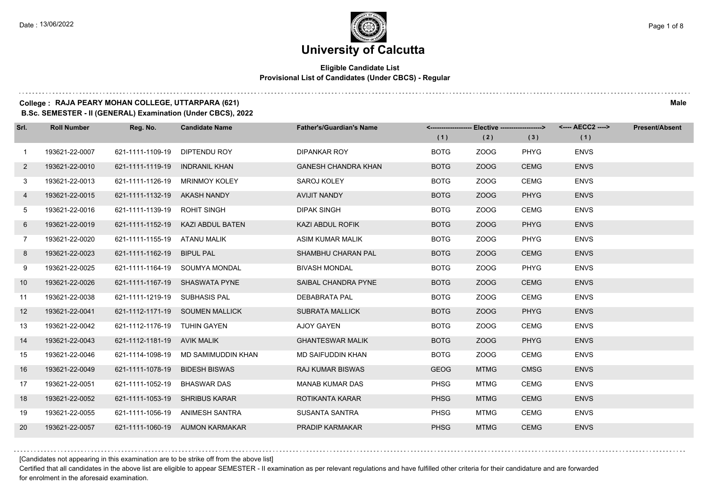#### **Eligible Candidate List Provisional List of Candidates (Under CBCS) - Regular**

### **College : RAJA PEARY MOHAN COLLEGE, UTTARPARA (621) Male**

**B.Sc. SEMESTER - II (GENERAL) Examination (Under CBCS), 2022**

| Srl.           | <b>Roll Number</b> | Reg. No.                       | <b>Candidate Name</b>               | <b>Father's/Guardian's Name</b> |             | <------------------- Elective ------------------> |             | <---- AECC2 ----> | <b>Present/Absent</b> |
|----------------|--------------------|--------------------------------|-------------------------------------|---------------------------------|-------------|---------------------------------------------------|-------------|-------------------|-----------------------|
|                |                    |                                |                                     |                                 | (1)         | (2)                                               | (3)         | (1)               |                       |
| $\overline{1}$ | 193621-22-0007     | 621-1111-1109-19               | DIPTENDU ROY                        | <b>DIPANKAR ROY</b>             | <b>BOTG</b> | ZOOG                                              | <b>PHYG</b> | <b>ENVS</b>       |                       |
| $\mathbf{2}$   | 193621-22-0010     | 621-1111-1119-19               | <b>INDRANIL KHAN</b>                | <b>GANESH CHANDRA KHAN</b>      | <b>BOTG</b> | ZOOG                                              | <b>CEMG</b> | <b>ENVS</b>       |                       |
| 3              | 193621-22-0013     |                                | 621-1111-1126-19 MRINMOY KOLEY      | SAROJ KOLEY                     | <b>BOTG</b> | ZOOG                                              | <b>CEMG</b> | <b>ENVS</b>       |                       |
| 4              | 193621-22-0015     | 621-1111-1132-19 AKASH NANDY   |                                     | AVIJIT NANDY                    | <b>BOTG</b> | ZOOG                                              | <b>PHYG</b> | <b>ENVS</b>       |                       |
| 5              | 193621-22-0016     | 621-1111-1139-19 ROHIT SINGH   |                                     | <b>DIPAK SINGH</b>              | <b>BOTG</b> | ZOOG                                              | <b>CEMG</b> | <b>ENVS</b>       |                       |
| 6              | 193621-22-0019     |                                | 621-1111-1152-19 KAZI ABDUL BATEN   | KAZI ABDUL ROFIK                | <b>BOTG</b> | ZOOG                                              | <b>PHYG</b> | <b>ENVS</b>       |                       |
| $7^{\circ}$    | 193621-22-0020     | 621-1111-1155-19 ATANU MALIK   |                                     | ASIM KUMAR MALIK                | <b>BOTG</b> | ZOOG                                              | PHYG        | <b>ENVS</b>       |                       |
| 8              | 193621-22-0023     | 621-1111-1162-19 BIPUL PAL     |                                     | SHAMBHU CHARAN PAL              | <b>BOTG</b> | ZOOG                                              | <b>CEMG</b> | <b>ENVS</b>       |                       |
| 9              | 193621-22-0025     |                                | 621-1111-1164-19 SOUMYA MONDAL      | <b>BIVASH MONDAL</b>            | <b>BOTG</b> | ZOOG                                              | <b>PHYG</b> | <b>ENVS</b>       |                       |
| 10             | 193621-22-0026     |                                | 621-1111-1167-19 SHASWATA PYNE      | SAIBAL CHANDRA PYNE             | <b>BOTG</b> | ZOOG                                              | <b>CEMG</b> | <b>ENVS</b>       |                       |
| 11             | 193621-22-0038     | 621-1111-1219-19 SUBHASIS PAL  |                                     | <b>DEBABRATA PAL</b>            | <b>BOTG</b> | ZOOG                                              | <b>CEMG</b> | <b>ENVS</b>       |                       |
| 12             | 193621-22-0041     |                                | 621-1112-1171-19 SOUMEN MALLICK     | <b>SUBRATA MALLICK</b>          | <b>BOTG</b> | ZOOG                                              | <b>PHYG</b> | <b>ENVS</b>       |                       |
| 13             | 193621-22-0042     | 621-1112-1176-19 TUHIN GAYEN   |                                     | <b>AJOY GAYEN</b>               | <b>BOTG</b> | ZOOG                                              | <b>CEMG</b> | <b>ENVS</b>       |                       |
| 14             | 193621-22-0043     | 621-1112-1181-19 AVIK MALIK    |                                     | <b>GHANTESWAR MALIK</b>         | <b>BOTG</b> | ZOOG                                              | <b>PHYG</b> | <b>ENVS</b>       |                       |
| 15             | 193621-22-0046     |                                | 621-1114-1098-19 MD SAMIMUDDIN KHAN | MD SAIFUDDIN KHAN               | <b>BOTG</b> | ZOOG                                              | <b>CEMG</b> | <b>ENVS</b>       |                       |
| 16             | 193621-22-0049     | 621-1111-1078-19               | <b>BIDESH BISWAS</b>                | <b>RAJ KUMAR BISWAS</b>         | <b>GEOG</b> | <b>MTMG</b>                                       | <b>CMSG</b> | <b>ENVS</b>       |                       |
| 17             | 193621-22-0051     | 621-1111-1052-19               | <b>BHASWAR DAS</b>                  | <b>MANAB KUMAR DAS</b>          | <b>PHSG</b> | <b>MTMG</b>                                       | <b>CEMG</b> | <b>ENVS</b>       |                       |
| 18             | 193621-22-0052     | 621-1111-1053-19 SHRIBUS KARAR |                                     | ROTIKANTA KARAR                 | <b>PHSG</b> | <b>MTMG</b>                                       | <b>CEMG</b> | <b>ENVS</b>       |                       |
| 19             | 193621-22-0055     |                                | 621-1111-1056-19 ANIMESH SANTRA     | SUSANTA SANTRA                  | <b>PHSG</b> | <b>MTMG</b>                                       | CEMG        | <b>ENVS</b>       |                       |
| 20             | 193621-22-0057     |                                | 621-1111-1060-19 AUMON KARMAKAR     | PRADIP KARMAKAR                 | <b>PHSG</b> | <b>MTMG</b>                                       | <b>CEMG</b> | <b>ENVS</b>       |                       |

[Candidates not appearing in this examination are to be strike off from the above list]

Certified that all candidates in the above list are eligible to appear SEMESTER - II examination as per relevant regulations and have fulfilled other criteria for their candidature and are forwarded for enrolment in the aforesaid examination.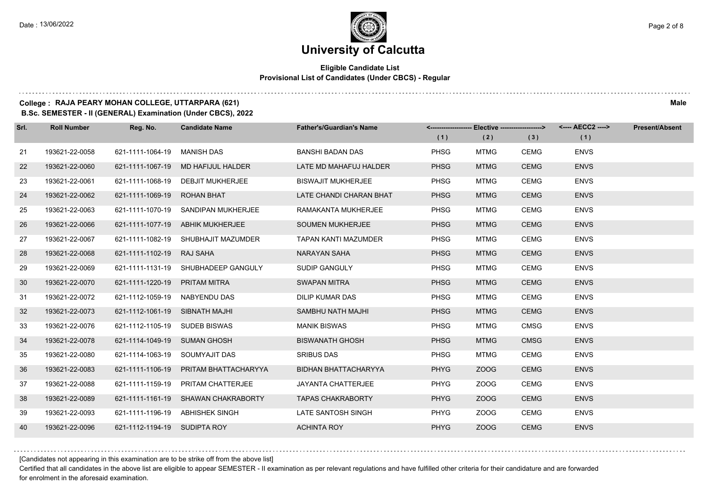#### **Eligible Candidate List Provisional List of Candidates (Under CBCS) - Regular**

#### **College : RAJA PEARY MOHAN COLLEGE, UTTARPARA (621) Male**

**B.Sc. SEMESTER - II (GENERAL) Examination (Under CBCS), 2022**

| Srl. | <b>Roll Number</b> | Reg. No.                       | <b>Candidate Name</b>                 | <b>Father's/Guardian's Name</b> |             | <-------------------- Elective ------------------> |             |             | <b>Present/Absent</b> |
|------|--------------------|--------------------------------|---------------------------------------|---------------------------------|-------------|----------------------------------------------------|-------------|-------------|-----------------------|
|      |                    |                                |                                       |                                 | (1)         | (2)                                                | (3)         | (1)         |                       |
| 21   | 193621-22-0058     | 621-1111-1064-19               | MANISH DAS                            | BANSHI BADAN DAS                | <b>PHSG</b> | MTMG                                               | <b>CEMG</b> | <b>ENVS</b> |                       |
| 22   | 193621-22-0060     |                                | 621-1111-1067-19 MD HAFIJUL HALDER    | LATE MD MAHAFUJ HALDER          | <b>PHSG</b> | <b>MTMG</b>                                        | <b>CEMG</b> | <b>ENVS</b> |                       |
| 23   | 193621-22-0061     |                                | 621-1111-1068-19 DEBJIT MUKHERJEE     | <b>BISWAJIT MUKHERJEE</b>       | <b>PHSG</b> | <b>MTMG</b>                                        | <b>CEMG</b> | <b>ENVS</b> |                       |
| 24   | 193621-22-0062     | 621-1111-1069-19 ROHAN BHAT    |                                       | LATE CHANDI CHARAN BHAT         | <b>PHSG</b> | <b>MTMG</b>                                        | <b>CEMG</b> | <b>ENVS</b> |                       |
| 25   | 193621-22-0063     |                                | 621-1111-1070-19 SANDIPAN MUKHERJEE   | RAMAKANTA MUKHERJEE             | <b>PHSG</b> | MTMG                                               | <b>CEMG</b> | <b>ENVS</b> |                       |
| 26   | 193621-22-0066     |                                | 621-1111-1077-19 ABHIK MUKHERJEE      | <b>SOUMEN MUKHERJEE</b>         | <b>PHSG</b> | <b>MTMG</b>                                        | <b>CEMG</b> | <b>ENVS</b> |                       |
| 27   | 193621-22-0067     |                                | 621-1111-1082-19 SHUBHAJIT MAZUMDER   | <b>TAPAN KANTI MAZUMDER</b>     | <b>PHSG</b> | MTMG                                               | <b>CEMG</b> | <b>ENVS</b> |                       |
| 28   | 193621-22-0068     | 621-1111-1102-19 RAJ SAHA      |                                       | NARAYAN SAHA                    | <b>PHSG</b> | <b>MTMG</b>                                        | <b>CEMG</b> | <b>ENVS</b> |                       |
| 29   | 193621-22-0069     |                                | 621-1111-1131-19 SHUBHADEEP GANGULY   | SUDIP GANGULY                   | <b>PHSG</b> | MTMG                                               | <b>CEMG</b> | <b>ENVS</b> |                       |
| 30   | 193621-22-0070     | 621-1111-1220-19 PRITAM MITRA  |                                       | <b>SWAPAN MITRA</b>             | <b>PHSG</b> | <b>MTMG</b>                                        | <b>CEMG</b> | <b>ENVS</b> |                       |
| 31   | 193621-22-0072     | 621-1112-1059-19 NABYENDU DAS  |                                       | DILIP KUMAR DAS                 | <b>PHSG</b> | <b>MTMG</b>                                        | <b>CEMG</b> | <b>ENVS</b> |                       |
| 32   | 193621-22-0073     | 621-1112-1061-19 SIBNATH MAJHI |                                       | SAMBHU NATH MAJHI               | <b>PHSG</b> | <b>MTMG</b>                                        | <b>CEMG</b> | <b>ENVS</b> |                       |
| 33   | 193621-22-0076     | 621-1112-1105-19 SUDEB BISWAS  |                                       | <b>MANIK BISWAS</b>             | <b>PHSG</b> | <b>MTMG</b>                                        | <b>CMSG</b> | <b>ENVS</b> |                       |
| 34   | 193621-22-0078     | 621-1114-1049-19 SUMAN GHOSH   |                                       | <b>BISWANATH GHOSH</b>          | <b>PHSG</b> | <b>MTMG</b>                                        | <b>CMSG</b> | <b>ENVS</b> |                       |
| 35   | 193621-22-0080     | 621-1114-1063-19 SOUMYAJIT DAS |                                       | <b>SRIBUS DAS</b>               | <b>PHSG</b> | <b>MTMG</b>                                        | <b>CEMG</b> | <b>ENVS</b> |                       |
| 36   | 193621-22-0083     |                                | 621-1111-1106-19 PRITAM BHATTACHARYYA | <b>BIDHAN BHATTACHARYYA</b>     | <b>PHYG</b> | ZOOG                                               | <b>CEMG</b> | <b>ENVS</b> |                       |
| 37   | 193621-22-0088     | 621-1111-1159-19               | PRITAM CHATTERJEE                     | <b>JAYANTA CHATTERJEE</b>       | <b>PHYG</b> | ZOOG                                               | <b>CEMG</b> | <b>ENVS</b> |                       |
| 38   | 193621-22-0089     |                                | 621-1111-1161-19 SHAWAN CHAKRABORTY   | <b>TAPAS CHAKRABORTY</b>        | <b>PHYG</b> | ZOOG                                               | <b>CEMG</b> | <b>ENVS</b> |                       |
| 39   | 193621-22-0093     |                                | 621-1111-1196-19 ABHISHEK SINGH       | LATE SANTOSH SINGH              | <b>PHYG</b> | ZOOG                                               | <b>CEMG</b> | <b>ENVS</b> |                       |
| 40   | 193621-22-0096     | 621-1112-1194-19 SUDIPTA ROY   |                                       | <b>ACHINTA ROY</b>              | <b>PHYG</b> | ZOOG                                               | <b>CEMG</b> | <b>ENVS</b> |                       |

[Candidates not appearing in this examination are to be strike off from the above list]

Certified that all candidates in the above list are eligible to appear SEMESTER - II examination as per relevant regulations and have fulfilled other criteria for their candidature and are forwarded for enrolment in the aforesaid examination.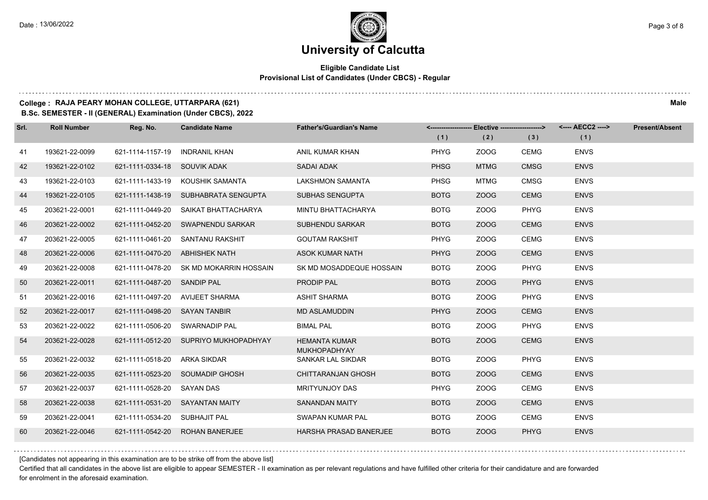#### **Eligible Candidate List Provisional List of Candidates (Under CBCS) - Regular**

#### **College : RAJA PEARY MOHAN COLLEGE, UTTARPARA (621) Male**

**B.Sc. SEMESTER - II (GENERAL) Examination (Under CBCS), 2022**

| Srl. | <b>Roll Number</b> | Reg. No.                       | <b>Candidate Name</b>                   | <b>Father's/Guardian's Name</b>             |             | <-------------------- Elective ------------------> |             | <---- AECC2 ----> | <b>Present/Absent</b> |
|------|--------------------|--------------------------------|-----------------------------------------|---------------------------------------------|-------------|----------------------------------------------------|-------------|-------------------|-----------------------|
|      |                    |                                |                                         |                                             | (1)         | (2)                                                | (3)         | (1)               |                       |
| 41   | 193621-22-0099     | 621-1114-1157-19               | <b>INDRANIL KHAN</b>                    | ANIL KUMAR KHAN                             | <b>PHYG</b> | ZOOG                                               | CEMG        | <b>ENVS</b>       |                       |
| 42   | 193621-22-0102     | 621-1111-0334-18 SOUVIK ADAK   |                                         | SADAI ADAK                                  | <b>PHSG</b> | <b>MTMG</b>                                        | <b>CMSG</b> | <b>ENVS</b>       |                       |
| 43   | 193621-22-0103     |                                | 621-1111-1433-19 KOUSHIK SAMANTA        | <b>LAKSHMON SAMANTA</b>                     | <b>PHSG</b> | <b>MTMG</b>                                        | <b>CMSG</b> | <b>ENVS</b>       |                       |
| 44   | 193621-22-0105     |                                | 621-1111-1438-19 SUBHABRATA SENGUPTA    | <b>SUBHAS SENGUPTA</b>                      | <b>BOTG</b> | ZOOG                                               | <b>CEMG</b> | <b>ENVS</b>       |                       |
| 45   | 203621-22-0001     | 621-1111-0449-20               | SAIKAT BHATTACHARYA                     | MINTU BHATTACHARYA                          | <b>BOTG</b> | ZOOG                                               | PHYG        | <b>ENVS</b>       |                       |
| 46   | 203621-22-0002     |                                | 621-1111-0452-20 SWAPNENDU SARKAR       | <b>SUBHENDU SARKAR</b>                      | <b>BOTG</b> | ZOOG                                               | <b>CEMG</b> | <b>ENVS</b>       |                       |
| 47   | 203621-22-0005     |                                | 621-1111-0461-20 SANTANU RAKSHIT        | <b>GOUTAM RAKSHIT</b>                       | <b>PHYG</b> | ZOOG                                               | <b>CEMG</b> | <b>ENVS</b>       |                       |
| 48   | 203621-22-0006     | 621-1111-0470-20 ABHISHEK NATH |                                         | <b>ASOK KUMAR NATH</b>                      | PHYG        | ZOOG                                               | <b>CEMG</b> | <b>ENVS</b>       |                       |
| 49   | 203621-22-0008     |                                | 621-1111-0478-20 SK MD MOKARRIN HOSSAIN | SK MD MOSADDEQUE HOSSAIN                    | <b>BOTG</b> | ZOOG                                               | <b>PHYG</b> | <b>ENVS</b>       |                       |
| 50   | 203621-22-0011     | 621-1111-0487-20 SANDIP PAL    |                                         | PRODIP PAL                                  | <b>BOTG</b> | ZOOG                                               | <b>PHYG</b> | <b>ENVS</b>       |                       |
| 51   | 203621-22-0016     |                                | 621-1111-0497-20 AVIJEET SHARMA         | <b>ASHIT SHARMA</b>                         | <b>BOTG</b> | ZOOG                                               | <b>PHYG</b> | <b>ENVS</b>       |                       |
| 52   | 203621-22-0017     | 621-1111-0498-20 SAYAN TANBIR  |                                         | <b>MD ASLAMUDDIN</b>                        | <b>PHYG</b> | ZOOG                                               | <b>CEMG</b> | <b>ENVS</b>       |                       |
| 53   | 203621-22-0022     | 621-1111-0506-20 SWARNADIP PAL |                                         | <b>BIMAL PAL</b>                            | <b>BOTG</b> | <b>ZOOG</b>                                        | PHYG        | <b>ENVS</b>       |                       |
| 54   | 203621-22-0028     |                                | 621-1111-0512-20 SUPRIYO MUKHOPADHYAY   | <b>HEMANTA KUMAR</b><br><b>MUKHOPADHYAY</b> | <b>BOTG</b> | ZOOG                                               | <b>CEMG</b> | <b>ENVS</b>       |                       |
| 55   | 203621-22-0032     | 621-1111-0518-20 ARKA SIKDAR   |                                         | SANKAR LAL SIKDAR                           | <b>BOTG</b> | ZOOG                                               | <b>PHYG</b> | <b>ENVS</b>       |                       |
| 56   | 203621-22-0035     |                                | 621-1111-0523-20 SOUMADIP GHOSH         | CHITTARANJAN GHOSH                          | <b>BOTG</b> | ZOOG                                               | <b>CEMG</b> | <b>ENVS</b>       |                       |
| 57   | 203621-22-0037     | 621-1111-0528-20 SAYAN DAS     |                                         | <b>MRITYUNJOY DAS</b>                       | PHYG        | ZOOG                                               | <b>CEMG</b> | <b>ENVS</b>       |                       |
| 58   | 203621-22-0038     |                                | 621-1111-0531-20 SAYANTAN MAITY         | <b>SANANDAN MAITY</b>                       | <b>BOTG</b> | ZOOG                                               | <b>CEMG</b> | <b>ENVS</b>       |                       |
| 59   | 203621-22-0041     | 621-1111-0534-20 SUBHAJIT PAL  |                                         | SWAPAN KUMAR PAL                            | <b>BOTG</b> | ZOOG                                               | CEMG        | <b>ENVS</b>       |                       |
| 60   | 203621-22-0046     |                                | 621-1111-0542-20 ROHAN BANERJEE         | <b>HARSHA PRASAD BANERJEE</b>               | <b>BOTG</b> | ZOOG                                               | <b>PHYG</b> | <b>ENVS</b>       |                       |

[Candidates not appearing in this examination are to be strike off from the above list]

Certified that all candidates in the above list are eligible to appear SEMESTER - II examination as per relevant regulations and have fulfilled other criteria for their candidature and are forwarded for enrolment in the aforesaid examination.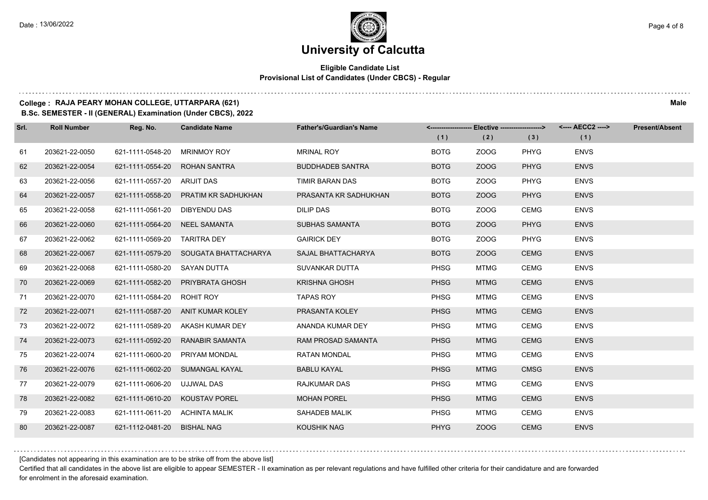#### **Eligible Candidate List Provisional List of Candidates (Under CBCS) - Regular**

#### **College : RAJA PEARY MOHAN COLLEGE, UTTARPARA (621) Male**

**B.Sc. SEMESTER - II (GENERAL) Examination (Under CBCS), 2022**

| Srl. | <b>Roll Number</b> | Reg. No.                       | <b>Candidate Name</b>                 | <b>Father's/Guardian's Name</b> |             | <------------------- Elective ------------------> |             | <---- AECC2 ----> | <b>Present/Absent</b> |
|------|--------------------|--------------------------------|---------------------------------------|---------------------------------|-------------|---------------------------------------------------|-------------|-------------------|-----------------------|
|      |                    |                                |                                       |                                 | (1)         | (2)                                               | (3)         | (1)               |                       |
| 61   | 203621-22-0050     | 621-1111-0548-20               | <b>MRINMOY ROY</b>                    | <b>MRINAL ROY</b>               | <b>BOTG</b> | ZOOG                                              | <b>PHYG</b> | <b>ENVS</b>       |                       |
| 62   | 203621-22-0054     | 621-1111-0554-20               | <b>ROHAN SANTRA</b>                   | <b>BUDDHADEB SANTRA</b>         | <b>BOTG</b> | ZOOG                                              | <b>PHYG</b> | <b>ENVS</b>       |                       |
| 63   | 203621-22-0056     | 621-1111-0557-20 ARIJIT DAS    |                                       | TIMIR BARAN DAS                 | <b>BOTG</b> | ZOOG                                              | <b>PHYG</b> | <b>ENVS</b>       |                       |
| 64   | 203621-22-0057     |                                | 621-1111-0558-20 PRATIM KR SADHUKHAN  | PRASANTA KR SADHUKHAN           | <b>BOTG</b> | ZOOG                                              | <b>PHYG</b> | <b>ENVS</b>       |                       |
| 65   | 203621-22-0058     | 621-1111-0561-20 DIBYENDU DAS  |                                       | <b>DILIP DAS</b>                | <b>BOTG</b> | ZOOG                                              | <b>CEMG</b> | <b>ENVS</b>       |                       |
| 66   | 203621-22-0060     | 621-1111-0564-20 NEEL SAMANTA  |                                       | <b>SUBHAS SAMANTA</b>           | <b>BOTG</b> | ZOOG                                              | <b>PHYG</b> | <b>ENVS</b>       |                       |
| 67   | 203621-22-0062     | 621-1111-0569-20 TARITRA DEY   |                                       | <b>GAIRICK DEY</b>              | <b>BOTG</b> | ZOOG                                              | <b>PHYG</b> | <b>ENVS</b>       |                       |
| 68   | 203621-22-0067     |                                | 621-1111-0579-20 SOUGATA BHATTACHARYA | SAJAL BHATTACHARYA              | <b>BOTG</b> | ZOOG                                              | <b>CEMG</b> | <b>ENVS</b>       |                       |
| 69   | 203621-22-0068     | 621-1111-0580-20               | SAYAN DUTTA                           | SUVANKAR DUTTA                  | <b>PHSG</b> | MTMG                                              | <b>CEMG</b> | <b>ENVS</b>       |                       |
| 70   | 203621-22-0069     | 621-1111-0582-20               | PRIYBRATA GHOSH                       | <b>KRISHNA GHOSH</b>            | <b>PHSG</b> | <b>MTMG</b>                                       | <b>CEMG</b> | <b>ENVS</b>       |                       |
| 71   | 203621-22-0070     | 621-1111-0584-20 ROHIT ROY     |                                       | <b>TAPAS ROY</b>                | <b>PHSG</b> | <b>MTMG</b>                                       | <b>CEMG</b> | <b>ENVS</b>       |                       |
| 72   | 203621-22-0071     |                                | 621-1111-0587-20 ANIT KUMAR KOLEY     | PRASANTA KOLEY                  | <b>PHSG</b> | <b>MTMG</b>                                       | <b>CEMG</b> | <b>ENVS</b>       |                       |
| 73   | 203621-22-0072     | 621-1111-0589-20               | AKASH KUMAR DEY                       | ANANDA KUMAR DEY                | <b>PHSG</b> | <b>MTMG</b>                                       | <b>CEMG</b> | <b>ENVS</b>       |                       |
| 74   | 203621-22-0073     | 621-1111-0592-20               | <b>RANABIR SAMANTA</b>                | <b>RAM PROSAD SAMANTA</b>       | <b>PHSG</b> | <b>MTMG</b>                                       | <b>CEMG</b> | <b>ENVS</b>       |                       |
| 75   | 203621-22-0074     | 621-1111-0600-20               | PRIYAM MONDAL                         | <b>RATAN MONDAL</b>             | <b>PHSG</b> | MTMG                                              | <b>CEMG</b> | <b>ENVS</b>       |                       |
| 76   | 203621-22-0076     |                                | 621-1111-0602-20 SUMANGAL KAYAL       | <b>BABLU KAYAL</b>              | <b>PHSG</b> | <b>MTMG</b>                                       | <b>CMSG</b> | <b>ENVS</b>       |                       |
| 77   | 203621-22-0079     | 621-1111-0606-20               | UJJWAL DAS                            | <b>RAJKUMAR DAS</b>             | <b>PHSG</b> | <b>MTMG</b>                                       | <b>CEMG</b> | <b>ENVS</b>       |                       |
| 78   | 203621-22-0082     |                                | 621-1111-0610-20 KOUSTAV POREL        | <b>MOHAN POREL</b>              | <b>PHSG</b> | <b>MTMG</b>                                       | <b>CEMG</b> | <b>ENVS</b>       |                       |
| 79   | 203621-22-0083     | 621-1111-0611-20 ACHINTA MALIK |                                       | SAHADEB MALIK                   | <b>PHSG</b> | <b>MTMG</b>                                       | <b>CEMG</b> | <b>ENVS</b>       |                       |
| 80   | 203621-22-0087     | 621-1112-0481-20               | <b>BISHAL NAG</b>                     | <b>KOUSHIK NAG</b>              | <b>PHYG</b> | ZOOG                                              | <b>CEMG</b> | <b>ENVS</b>       |                       |

[Candidates not appearing in this examination are to be strike off from the above list]

Certified that all candidates in the above list are eligible to appear SEMESTER - II examination as per relevant regulations and have fulfilled other criteria for their candidature and are forwarded for enrolment in the aforesaid examination.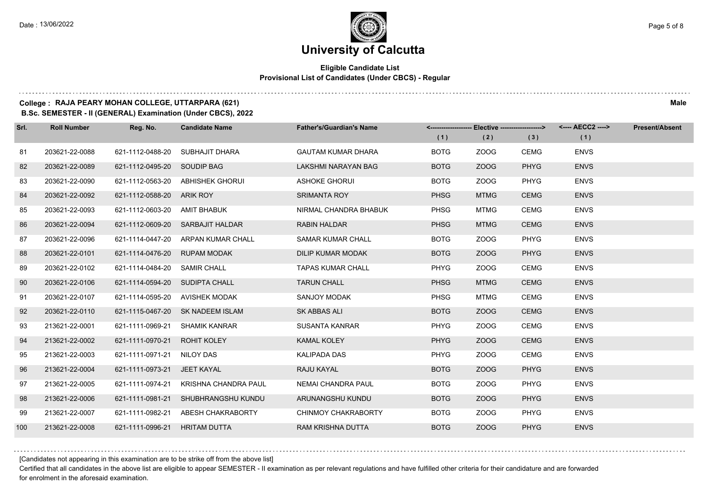#### **Eligible Candidate List Provisional List of Candidates (Under CBCS) - Regular**

### **College : RAJA PEARY MOHAN COLLEGE, UTTARPARA (621) Male**

**B.Sc. SEMESTER - II (GENERAL) Examination (Under CBCS), 2022**

| Srl. | <b>Roll Number</b> | Reg. No.                       | <b>Candidate Name</b>              | <b>Father's/Guardian's Name</b> |             | <------------------- Elective ------------------> |             | <---- AECC2 ----> | <b>Present/Absent</b> |
|------|--------------------|--------------------------------|------------------------------------|---------------------------------|-------------|---------------------------------------------------|-------------|-------------------|-----------------------|
|      |                    |                                |                                    |                                 | (1)         | (2)                                               | (3)         | (1)               |                       |
| 81   | 203621-22-0088     | 621-1112-0488-20               | SUBHAJIT DHARA                     | <b>GAUTAM KUMAR DHARA</b>       | <b>BOTG</b> | ZOOG                                              | <b>CEMG</b> | <b>ENVS</b>       |                       |
| 82   | 203621-22-0089     | 621-1112-0495-20 SOUDIP BAG    |                                    | LAKSHMI NARAYAN BAG             | <b>BOTG</b> | ZOOG                                              | <b>PHYG</b> | <b>ENVS</b>       |                       |
| 83   | 203621-22-0090     |                                | 621-1112-0563-20 ABHISHEK GHORUI   | <b>ASHOKE GHORUI</b>            | <b>BOTG</b> | ZOOG                                              | <b>PHYG</b> | <b>ENVS</b>       |                       |
| 84   | 203621-22-0092     | 621-1112-0588-20 ARIK ROY      |                                    | <b>SRIMANTA ROY</b>             | <b>PHSG</b> | <b>MTMG</b>                                       | <b>CEMG</b> | <b>ENVS</b>       |                       |
| 85   | 203621-22-0093     | 621-1112-0603-20 AMIT BHABUK   |                                    | NIRMAL CHANDRA BHABUK           | <b>PHSG</b> | MTMG                                              | <b>CEMG</b> | <b>ENVS</b>       |                       |
| 86   | 203621-22-0094     |                                | 621-1112-0609-20 SARBAJIT HALDAR   | <b>RABIN HALDAR</b>             | <b>PHSG</b> | <b>MTMG</b>                                       | <b>CEMG</b> | <b>ENVS</b>       |                       |
| 87   | 203621-22-0096     |                                | 621-1114-0447-20 ARPAN KUMAR CHALL | <b>SAMAR KUMAR CHALL</b>        | <b>BOTG</b> | ZOOG                                              | <b>PHYG</b> | <b>ENVS</b>       |                       |
| 88   | 203621-22-0101     | 621-1114-0476-20               | <b>RUPAM MODAK</b>                 | <b>DILIP KUMAR MODAK</b>        | <b>BOTG</b> | ZOOG                                              | <b>PHYG</b> | <b>ENVS</b>       |                       |
| 89   | 203621-22-0102     | 621-1114-0484-20               | SAMIR CHALL                        | <b>TAPAS KUMAR CHALL</b>        | <b>PHYG</b> | ZOOG                                              | <b>CEMG</b> | <b>ENVS</b>       |                       |
| 90   | 203621-22-0106     | 621-1114-0594-20 SUDIPTA CHALL |                                    | <b>TARUN CHALL</b>              | <b>PHSG</b> | <b>MTMG</b>                                       | <b>CEMG</b> | <b>ENVS</b>       |                       |
| 91   | 203621-22-0107     | 621-1114-0595-20 AVISHEK MODAK |                                    | SANJOY MODAK                    | <b>PHSG</b> | <b>MTMG</b>                                       | <b>CEMG</b> | <b>ENVS</b>       |                       |
| 92   | 203621-22-0110     |                                | 621-1115-0467-20 SK NADEEM ISLAM   | SK ABBAS ALI                    | <b>BOTG</b> | ZOOG                                              | <b>CEMG</b> | <b>ENVS</b>       |                       |
| 93   | 213621-22-0001     | 621-1111-0969-21               | SHAMIK KANRAR                      | SUSANTA KANRAR                  | <b>PHYG</b> | ZOOG                                              | <b>CEMG</b> | <b>ENVS</b>       |                       |
| 94   | 213621-22-0002     | 621-1111-0970-21               | <b>ROHIT KOLEY</b>                 | <b>KAMAL KOLEY</b>              | <b>PHYG</b> | ZOOG                                              | <b>CEMG</b> | <b>ENVS</b>       |                       |
| 95   | 213621-22-0003     | 621-1111-0971-21 NILOY DAS     |                                    | KALIPADA DAS                    | <b>PHYG</b> | ZOOG                                              | <b>CEMG</b> | <b>ENVS</b>       |                       |
| 96   | 213621-22-0004     | 621-1111-0973-21 JEET KAYAL    |                                    | RAJU KAYAL                      | <b>BOTG</b> | ZOOG                                              | <b>PHYG</b> | <b>ENVS</b>       |                       |
| 97   | 213621-22-0005     | 621-1111-0974-21               | KRISHNA CHANDRA PAUL               | NEMAI CHANDRA PAUL              | <b>BOTG</b> | ZOOG                                              | <b>PHYG</b> | <b>ENVS</b>       |                       |
| 98   | 213621-22-0006     | 621-1111-0981-21               | SHUBHRANGSHU KUNDU                 | ARUNANGSHU KUNDU                | <b>BOTG</b> | ZOOG                                              | <b>PHYG</b> | <b>ENVS</b>       |                       |
| 99   | 213621-22-0007     | 621-1111-0982-21               | ABESH CHAKRABORTY                  | CHINMOY CHAKRABORTY             | <b>BOTG</b> | ZOOG                                              | <b>PHYG</b> | <b>ENVS</b>       |                       |
| 100  | 213621-22-0008     | 621-1111-0996-21               | <b>HRITAM DUTTA</b>                | RAM KRISHNA DUTTA               | <b>BOTG</b> | ZOOG                                              | <b>PHYG</b> | <b>ENVS</b>       |                       |

[Candidates not appearing in this examination are to be strike off from the above list]

Certified that all candidates in the above list are eligible to appear SEMESTER - II examination as per relevant regulations and have fulfilled other criteria for their candidature and are forwarded for enrolment in the aforesaid examination.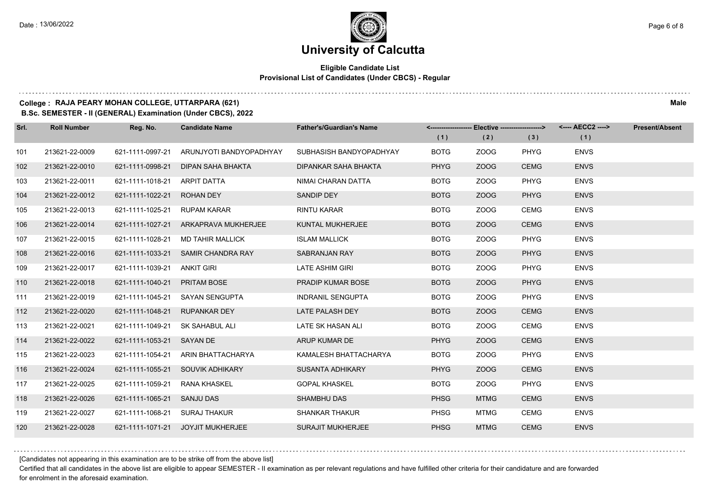#### **Eligible Candidate List Provisional List of Candidates (Under CBCS) - Regular**

#### **College : RAJA PEARY MOHAN COLLEGE, UTTARPARA (621) Male**

**B.Sc. SEMESTER - II (GENERAL) Examination (Under CBCS), 2022**

| Srl. | <b>Roll Number</b> | Reg. No.                      | <b>Candidate Name</b>                | <b>Father's/Guardian's Name</b> |             | <-------------------- Elective ------------------> |             | <---- AECC2 ----> | <b>Present/Absent</b> |
|------|--------------------|-------------------------------|--------------------------------------|---------------------------------|-------------|----------------------------------------------------|-------------|-------------------|-----------------------|
|      |                    |                               |                                      |                                 | (1)         | (2)                                                | (3)         | (1)               |                       |
| 101  | 213621-22-0009     | 621-1111-0997-21              | ARUNJYOTI BANDYOPADHYAY              | SUBHASISH BANDYOPADHYAY         | <b>BOTG</b> | ZOOG                                               | <b>PHYG</b> | <b>ENVS</b>       |                       |
| 102  | 213621-22-0010     | 621-1111-0998-21              | DIPAN SAHA BHAKTA                    | DIPANKAR SAHA BHAKTA            | <b>PHYG</b> | ZOOG                                               | <b>CEMG</b> | <b>ENVS</b>       |                       |
| 103  | 213621-22-0011     | 621-1111-1018-21              | ARPIT DATTA                          | NIMAI CHARAN DATTA              | <b>BOTG</b> | ZOOG                                               | PHYG        | <b>ENVS</b>       |                       |
| 104  | 213621-22-0012     | 621-1111-1022-21 ROHAN DEY    |                                      | SANDIP DEY                      | <b>BOTG</b> | ZOOG                                               | <b>PHYG</b> | <b>ENVS</b>       |                       |
| 105  | 213621-22-0013     | 621-1111-1025-21              | <b>RUPAM KARAR</b>                   | <b>RINTU KARAR</b>              | <b>BOTG</b> | ZOOG                                               | CEMG        | <b>ENVS</b>       |                       |
| 106  | 213621-22-0014     |                               | 621-1111-1027-21 ARKAPRAVA MUKHERJEE | KUNTAL MUKHERJEE                | <b>BOTG</b> | ZOOG                                               | <b>CEMG</b> | <b>ENVS</b>       |                       |
| 107  | 213621-22-0015     |                               | 621-1111-1028-21 MD TAHIR MALLICK    | <b>ISLAM MALLICK</b>            | <b>BOTG</b> | ZOOG                                               | <b>PHYG</b> | <b>ENVS</b>       |                       |
| 108  | 213621-22-0016     |                               | 621-1111-1033-21 SAMIR CHANDRA RAY   | SABRANJAN RAY                   | <b>BOTG</b> | ZOOG                                               | <b>PHYG</b> | <b>ENVS</b>       |                       |
| 109  | 213621-22-0017     | 621-1111-1039-21              | <b>ANKIT GIRI</b>                    | <b>LATE ASHIM GIRI</b>          | <b>BOTG</b> | ZOOG                                               | <b>PHYG</b> | <b>ENVS</b>       |                       |
| 110  | 213621-22-0018     | 621-1111-1040-21 PRITAM BOSE  |                                      | PRADIP KUMAR BOSE               | <b>BOTG</b> | ZOOG                                               | <b>PHYG</b> | <b>ENVS</b>       |                       |
| 111  | 213621-22-0019     |                               | 621-1111-1045-21 SAYAN SENGUPTA      | <b>INDRANIL SENGUPTA</b>        | <b>BOTG</b> | ZOOG                                               | PHYG        | <b>ENVS</b>       |                       |
| 112  | 213621-22-0020     | 621-1111-1048-21 RUPANKAR DEY |                                      | LATE PALASH DEY                 | <b>BOTG</b> | ZOOG                                               | <b>CEMG</b> | <b>ENVS</b>       |                       |
| 113  | 213621-22-0021     | 621-1111-1049-21              | SK SAHABUL ALI                       | LATE SK HASAN ALI               | <b>BOTG</b> | ZOOG                                               | <b>CEMG</b> | <b>ENVS</b>       |                       |
| 114  | 213621-22-0022     | 621-1111-1053-21 SAYAN DE     |                                      | ARUP KUMAR DE                   | <b>PHYG</b> | ZOOG                                               | <b>CEMG</b> | <b>ENVS</b>       |                       |
| 115  | 213621-22-0023     | 621-1111-1054-21              | ARIN BHATTACHARYA                    | KAMALESH BHATTACHARYA           | <b>BOTG</b> | ZOOG                                               | <b>PHYG</b> | <b>ENVS</b>       |                       |
| 116  | 213621-22-0024     |                               | 621-1111-1055-21 SOUVIK ADHIKARY     | SUSANTA ADHIKARY                | <b>PHYG</b> | ZOOG                                               | <b>CEMG</b> | <b>ENVS</b>       |                       |
| 117  | 213621-22-0025     | 621-1111-1059-21              | RANA KHASKEL                         | <b>GOPAL KHASKEL</b>            | <b>BOTG</b> | ZOOG                                               | PHYG        | <b>ENVS</b>       |                       |
| 118  | 213621-22-0026     | 621-1111-1065-21 SANJU DAS    |                                      | <b>SHAMBHU DAS</b>              | <b>PHSG</b> | <b>MTMG</b>                                        | <b>CEMG</b> | <b>ENVS</b>       |                       |
| 119  | 213621-22-0027     | 621-1111-1068-21 SURAJ THAKUR |                                      | <b>SHANKAR THAKUR</b>           | <b>PHSG</b> | <b>MTMG</b>                                        | <b>CEMG</b> | <b>ENVS</b>       |                       |
| 120  | 213621-22-0028     |                               | 621-1111-1071-21 JOYJIT MUKHERJEE    | <b>SURAJIT MUKHERJEE</b>        | <b>PHSG</b> | <b>MTMG</b>                                        | <b>CEMG</b> | <b>ENVS</b>       |                       |

[Candidates not appearing in this examination are to be strike off from the above list]

Certified that all candidates in the above list are eligible to appear SEMESTER - II examination as per relevant regulations and have fulfilled other criteria for their candidature and are forwarded for enrolment in the aforesaid examination.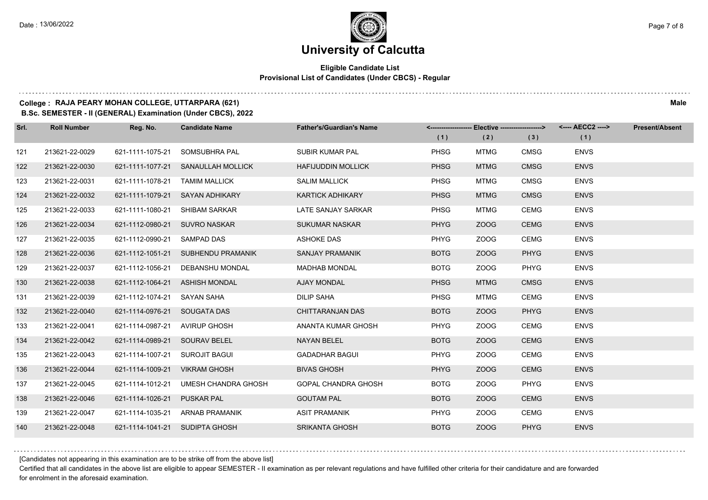#### **Eligible Candidate List Provisional List of Candidates (Under CBCS) - Regular**

### **College : RAJA PEARY MOHAN COLLEGE, UTTARPARA (621) Male**

**B.Sc. SEMESTER - II (GENERAL) Examination (Under CBCS), 2022**

| Srl. | <b>Roll Number</b> | Reg. No.                       | <b>Candidate Name</b>              | <b>Father's/Guardian's Name</b> |             | <-------------------- Elective -------------------> |             | <---- AECC2 ----> | <b>Present/Absent</b> |
|------|--------------------|--------------------------------|------------------------------------|---------------------------------|-------------|-----------------------------------------------------|-------------|-------------------|-----------------------|
|      |                    |                                |                                    |                                 | (1)         | (2)                                                 | (3)         | (1)               |                       |
| 121  | 213621-22-0029     | 621-1111-1075-21               | SOMSUBHRA PAL                      | <b>SUBIR KUMAR PAL</b>          | <b>PHSG</b> | <b>MTMG</b>                                         | <b>CMSG</b> | <b>ENVS</b>       |                       |
| 122  | 213621-22-0030     |                                | 621-1111-1077-21 SANAULLAH MOLLICK | <b>HAFIJUDDIN MOLLICK</b>       | <b>PHSG</b> | <b>MTMG</b>                                         | <b>CMSG</b> | <b>ENVS</b>       |                       |
| 123  | 213621-22-0031     | 621-1111-1078-21 TAMIM MALLICK |                                    | <b>SALIM MALLICK</b>            | PHSG        | <b>MTMG</b>                                         | <b>CMSG</b> | <b>ENVS</b>       |                       |
| 124  | 213621-22-0032     |                                | 621-1111-1079-21 SAYAN ADHIKARY    | <b>KARTICK ADHIKARY</b>         | <b>PHSG</b> | <b>MTMG</b>                                         | <b>CMSG</b> | <b>ENVS</b>       |                       |
| 125  | 213621-22-0033     | 621-1111-1080-21               | <b>SHIBAM SARKAR</b>               | LATE SANJAY SARKAR              | <b>PHSG</b> | <b>MTMG</b>                                         | <b>CEMG</b> | <b>ENVS</b>       |                       |
| 126  | 213621-22-0034     | 621-1112-0980-21 SUVRO NASKAR  |                                    | <b>SUKUMAR NASKAR</b>           | <b>PHYG</b> | ZOOG                                                | <b>CEMG</b> | <b>ENVS</b>       |                       |
| 127  | 213621-22-0035     | 621-1112-0990-21 SAMPAD DAS    |                                    | <b>ASHOKE DAS</b>               | PHYG        | ZOOG                                                | <b>CEMG</b> | <b>ENVS</b>       |                       |
| 128  | 213621-22-0036     |                                | 621-1112-1051-21 SUBHENDU PRAMANIK | SANJAY PRAMANIK                 | <b>BOTG</b> | ZOOG                                                | <b>PHYG</b> | <b>ENVS</b>       |                       |
| 129  | 213621-22-0037     | 621-1112-1056-21               | DEBANSHU MONDAL                    | <b>MADHAB MONDAL</b>            | <b>BOTG</b> | ZOOG                                                | <b>PHYG</b> | <b>ENVS</b>       |                       |
| 130  | 213621-22-0038     |                                | 621-1112-1064-21 ASHISH MONDAL     | <b>AJAY MONDAL</b>              | <b>PHSG</b> | <b>MTMG</b>                                         | <b>CMSG</b> | <b>ENVS</b>       |                       |
| 131  | 213621-22-0039     | 621-1112-1074-21               | SAYAN SAHA                         | <b>DILIP SAHA</b>               | <b>PHSG</b> | <b>MTMG</b>                                         | <b>CEMG</b> | <b>ENVS</b>       |                       |
| 132  | 213621-22-0040     | 621-1114-0976-21 SOUGATA DAS   |                                    | CHITTARANJAN DAS                | <b>BOTG</b> | ZOOG                                                | <b>PHYG</b> | <b>ENVS</b>       |                       |
| 133  | 213621-22-0041     | 621-1114-0987-21               | AVIRUP GHOSH                       | ANANTA KUMAR GHOSH              | <b>PHYG</b> | ZOOG                                                | <b>CEMG</b> | <b>ENVS</b>       |                       |
| 134  | 213621-22-0042     | 621-1114-0989-21 SOURAV BELEL  |                                    | <b>NAYAN BELEL</b>              | <b>BOTG</b> | ZOOG                                                | <b>CEMG</b> | <b>ENVS</b>       |                       |
| 135  | 213621-22-0043     | 621-1114-1007-21               | SUROJIT BAGUI                      | <b>GADADHAR BAGUI</b>           | <b>PHYG</b> | ZOOG                                                | <b>CEMG</b> | <b>ENVS</b>       |                       |
| 136  | 213621-22-0044     | 621-1114-1009-21               | <b>VIKRAM GHOSH</b>                | <b>BIVAS GHOSH</b>              | <b>PHYG</b> | ZOOG                                                | <b>CEMG</b> | <b>ENVS</b>       |                       |
| 137  | 213621-22-0045     | 621-1114-1012-21               | UMESH CHANDRA GHOSH                | GOPAL CHANDRA GHOSH             | <b>BOTG</b> | ZOOG                                                | <b>PHYG</b> | <b>ENVS</b>       |                       |
| 138  | 213621-22-0046     | 621-1114-1026-21               | <b>PUSKAR PAL</b>                  | <b>GOUTAM PAL</b>               | <b>BOTG</b> | ZOOG                                                | <b>CEMG</b> | <b>ENVS</b>       |                       |
| 139  | 213621-22-0047     |                                | 621-1114-1035-21 ARNAB PRAMANIK    | <b>ASIT PRAMANIK</b>            | PHYG        | ZOOG                                                | <b>CEMG</b> | <b>ENVS</b>       |                       |
| 140  | 213621-22-0048     | 621-1114-1041-21 SUDIPTA GHOSH |                                    | <b>SRIKANTA GHOSH</b>           | <b>BOTG</b> | ZOOG                                                | <b>PHYG</b> | <b>ENVS</b>       |                       |

[Candidates not appearing in this examination are to be strike off from the above list]

Certified that all candidates in the above list are eligible to appear SEMESTER - II examination as per relevant regulations and have fulfilled other criteria for their candidature and are forwarded for enrolment in the aforesaid examination.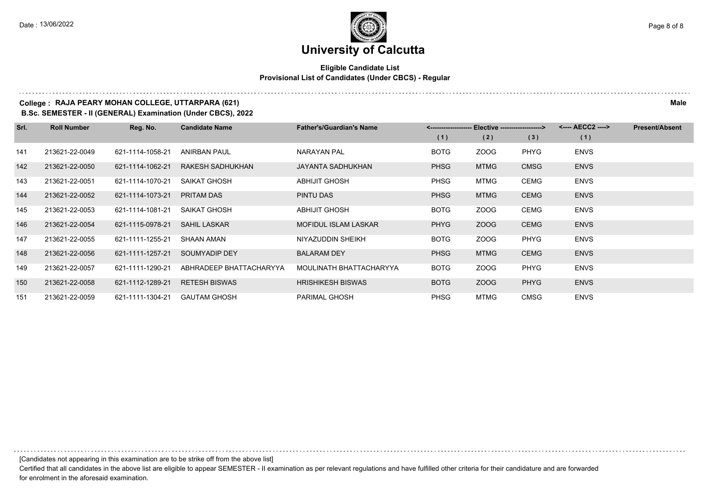#### **Eligible Candidate List Provisional List of Candidates (Under CBCS) - Regular**

#### **College : RAJA PEARY MOHAN COLLEGE, UTTARPARA (621) Male**

**B.Sc. SEMESTER - II (GENERAL) Examination (Under CBCS), 2022**

| Srl. | <b>Roll Number</b> | Reg. No.         | <b>Candidate Name</b>   | <b>Father's/Guardian's Name</b> |             | <-------------------- Elective ------------------> |             | <---- AECC2 ----> | <b>Present/Absent</b> |
|------|--------------------|------------------|-------------------------|---------------------------------|-------------|----------------------------------------------------|-------------|-------------------|-----------------------|
|      |                    |                  |                         |                                 | (1)         | (2)                                                | (3)         | (1)               |                       |
| 141  | 213621-22-0049     | 621-1114-1058-21 | ANIRBAN PAUL            | NARAYAN PAL                     | <b>BOTG</b> | ZOOG                                               | PHYG        | <b>ENVS</b>       |                       |
| 142  | 213621-22-0050     | 621-1114-1062-21 | RAKESH SADHUKHAN        | JAYANTA SADHUKHAN               | <b>PHSG</b> | <b>MTMG</b>                                        | <b>CMSG</b> | <b>ENVS</b>       |                       |
| 143  | 213621-22-0051     | 621-1114-1070-21 | SAIKAT GHOSH            | <b>ABHIJIT GHOSH</b>            | <b>PHSG</b> | MTMG                                               | CEMG        | <b>ENVS</b>       |                       |
| 144  | 213621-22-0052     | 621-1114-1073-21 | <b>PRITAM DAS</b>       | PINTU DAS                       | <b>PHSG</b> | <b>MTMG</b>                                        | <b>CEMG</b> | <b>ENVS</b>       |                       |
| 145  | 213621-22-0053     | 621-1114-1081-21 | SAIKAT GHOSH            | <b>ABHIJIT GHOSH</b>            | <b>BOTG</b> | ZOOG                                               | CEMG        | <b>ENVS</b>       |                       |
| 146  | 213621-22-0054     | 621-1115-0978-21 | SAHIL LASKAR            | <b>MOFIDUL ISLAM LASKAR</b>     | <b>PHYG</b> | ZOOG                                               | <b>CEMG</b> | <b>ENVS</b>       |                       |
| 147  | 213621-22-0055     | 621-1111-1255-21 | SHAAN AMAN              | NIYAZUDDIN SHEIKH               | <b>BOTG</b> | ZOOG                                               | PHYG        | <b>ENVS</b>       |                       |
| 148  | 213621-22-0056     | 621-1111-1257-21 | SOUMYADIP DEY           | <b>BALARAM DEY</b>              | <b>PHSG</b> | <b>MTMG</b>                                        | <b>CEMG</b> | <b>ENVS</b>       |                       |
| 149  | 213621-22-0057     | 621-1111-1290-21 | ABHRADEEP BHATTACHARYYA | MOULINATH BHATTACHARYYA         | <b>BOTG</b> | ZOOG                                               | PHYG        | <b>ENVS</b>       |                       |
| 150  | 213621-22-0058     | 621-1112-1289-21 | <b>RETESH BISWAS</b>    | <b>HRISHIKESH BISWAS</b>        | <b>BOTG</b> | ZOOG                                               | <b>PHYG</b> | <b>ENVS</b>       |                       |
| 151  | 213621-22-0059     | 621-1111-1304-21 | <b>GAUTAM GHOSH</b>     | <b>PARIMAL GHOSH</b>            | <b>PHSG</b> | MTMG                                               | CMSG        | <b>ENVS</b>       |                       |

[Candidates not appearing in this examination are to be strike off from the above list]

Certified that all candidates in the above list are eligible to appear SEMESTER - II examination as per relevant regulations and have fulfilled other criteria for their candidature and are forwarded for enrolment in the aforesaid examination.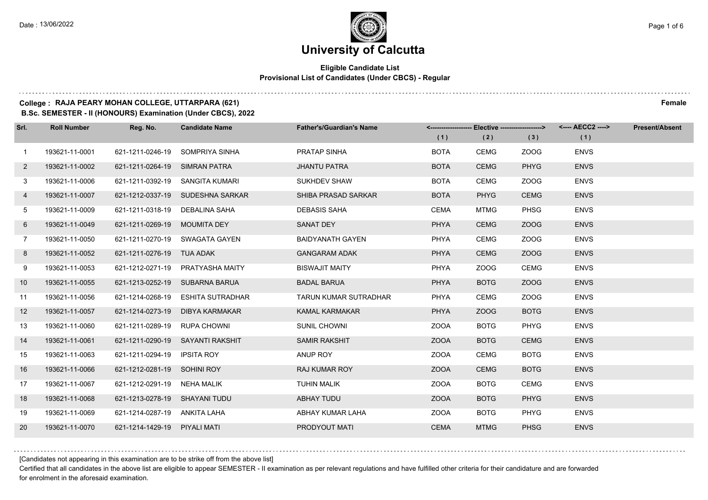#### **Eligible Candidate List Provisional List of Candidates (Under CBCS) - Regular**

#### **College : RAJA PEARY MOHAN COLLEGE, UTTARPARA (621) Female**

**B.Sc. SEMESTER - II (HONOURS) Examination (Under CBCS), 2022**

| Srl.           | <b>Roll Number</b> | Reg. No.                      | <b>Candidate Name</b>             | <b>Father's/Guardian's Name</b> |             | <-------------------- Elective -------------------> |             | <---- AECC2 ----> | <b>Present/Absent</b> |
|----------------|--------------------|-------------------------------|-----------------------------------|---------------------------------|-------------|-----------------------------------------------------|-------------|-------------------|-----------------------|
|                |                    |                               |                                   |                                 | (1)         | (2)                                                 | (3)         | (1)               |                       |
| $\mathbf{1}$   | 193621-11-0001     |                               | 621-1211-0246-19 SOMPRIYA SINHA   | PRATAP SINHA                    | <b>BOTA</b> | <b>CEMG</b>                                         | ZOOG        | <b>ENVS</b>       |                       |
| $\mathbf{2}$   | 193621-11-0002     | 621-1211-0264-19 SIMRAN PATRA |                                   | <b>JHANTU PATRA</b>             | <b>BOTA</b> | <b>CEMG</b>                                         | <b>PHYG</b> | <b>ENVS</b>       |                       |
| 3              | 193621-11-0006     |                               | 621-1211-0392-19 SANGITA KUMARI   | <b>SUKHDEV SHAW</b>             | <b>BOTA</b> | <b>CEMG</b>                                         | ZOOG        | <b>ENVS</b>       |                       |
| 4              | 193621-11-0007     |                               | 621-1212-0337-19 SUDESHNA SARKAR  | SHIBA PRASAD SARKAR             | <b>BOTA</b> | <b>PHYG</b>                                         | <b>CEMG</b> | <b>ENVS</b>       |                       |
| 5              | 193621-11-0009     | 621-1211-0318-19              | DEBALINA SAHA                     | <b>DEBASIS SAHA</b>             | <b>CEMA</b> | <b>MTMG</b>                                         | <b>PHSG</b> | <b>ENVS</b>       |                       |
| 6              | 193621-11-0049     | 621-1211-0269-19 MOUMITA DEY  |                                   | <b>SANAT DEY</b>                | <b>PHYA</b> | <b>CEMG</b>                                         | ZOOG        | <b>ENVS</b>       |                       |
| $\overline{7}$ | 193621-11-0050     |                               | 621-1211-0270-19 SWAGATA GAYEN    | <b>BAIDYANATH GAYEN</b>         | <b>PHYA</b> | <b>CEMG</b>                                         | ZOOG        | <b>ENVS</b>       |                       |
| 8              | 193621-11-0052     | 621-1211-0276-19 TUA ADAK     |                                   | <b>GANGARAM ADAK</b>            | <b>PHYA</b> | <b>CEMG</b>                                         | ZOOG        | <b>ENVS</b>       |                       |
| 9              | 193621-11-0053     |                               | 621-1212-0271-19 PRATYASHA MAITY  | <b>BISWAJIT MAITY</b>           | PHYA        | ZOOG                                                | <b>CEMG</b> | <b>ENVS</b>       |                       |
| 10             | 193621-11-0055     |                               | 621-1213-0252-19 SUBARNA BARUA    | <b>BADAL BARUA</b>              | <b>PHYA</b> | <b>BOTG</b>                                         | ZOOG        | <b>ENVS</b>       |                       |
| 11             | 193621-11-0056     |                               | 621-1214-0268-19 ESHITA SUTRADHAR | <b>TARUN KUMAR SUTRADHAR</b>    | PHYA        | <b>CEMG</b>                                         | ZOOG        | <b>ENVS</b>       |                       |
| 12             | 193621-11-0057     |                               | 621-1214-0273-19 DIBYA KARMAKAR   | KAMAL KARMAKAR                  | PHYA        | ZOOG                                                | <b>BOTG</b> | <b>ENVS</b>       |                       |
| 13             | 193621-11-0060     | 621-1211-0289-19 RUPA CHOWNI  |                                   | <b>SUNIL CHOWNI</b>             | <b>ZOOA</b> | <b>BOTG</b>                                         | <b>PHYG</b> | <b>ENVS</b>       |                       |
| 14             | 193621-11-0061     |                               | 621-1211-0290-19 SAYANTI RAKSHIT  | <b>SAMIR RAKSHIT</b>            | <b>ZOOA</b> | <b>BOTG</b>                                         | <b>CEMG</b> | <b>ENVS</b>       |                       |
| 15             | 193621-11-0063     | 621-1211-0294-19 IPSITA ROY   |                                   | ANUP ROY                        | <b>ZOOA</b> | <b>CEMG</b>                                         | <b>BOTG</b> | <b>ENVS</b>       |                       |
| 16             | 193621-11-0066     | 621-1212-0281-19 SOHINI ROY   |                                   | <b>RAJ KUMAR ROY</b>            | <b>ZOOA</b> | <b>CEMG</b>                                         | <b>BOTG</b> | <b>ENVS</b>       |                       |
| 17             | 193621-11-0067     | 621-1212-0291-19 NEHA MALIK   |                                   | <b>TUHIN MALIK</b>              | <b>ZOOA</b> | <b>BOTG</b>                                         | <b>CEMG</b> | <b>ENVS</b>       |                       |
| 18             | 193621-11-0068     | 621-1213-0278-19 SHAYANI TUDU |                                   | ABHAY TUDU                      | <b>ZOOA</b> | <b>BOTG</b>                                         | <b>PHYG</b> | <b>ENVS</b>       |                       |
| 19             | 193621-11-0069     | 621-1214-0287-19 ANKITA LAHA  |                                   | ABHAY KUMAR LAHA                | <b>ZOOA</b> | <b>BOTG</b>                                         | PHYG        | <b>ENVS</b>       |                       |
| 20             | 193621-11-0070     | 621-1214-1429-19 PIYALI MATI  |                                   | PRODYOUT MATI                   | <b>CEMA</b> | <b>MTMG</b>                                         | <b>PHSG</b> | <b>ENVS</b>       |                       |

[Candidates not appearing in this examination are to be strike off from the above list]

Certified that all candidates in the above list are eligible to appear SEMESTER - II examination as per relevant regulations and have fulfilled other criteria for their candidature and are forwarded for enrolment in the aforesaid examination.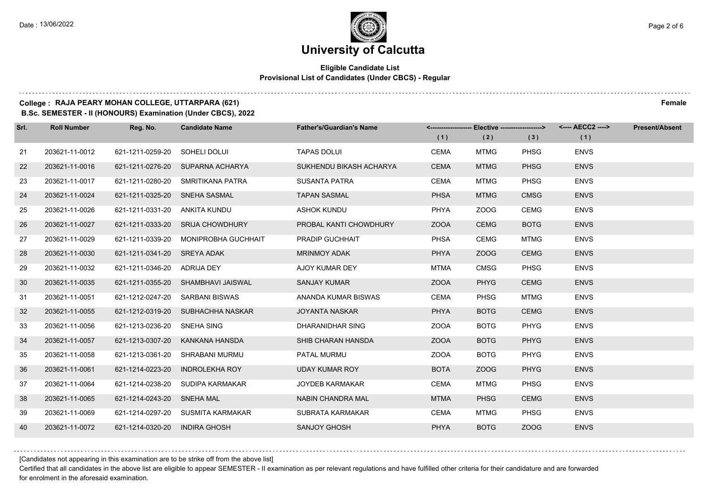#### **Eligible Candidate List Provisional List of Candidates (Under CBCS) - Regular**

#### **College : RAJA PEARY MOHAN COLLEGE, UTTARPARA (621) Female**

**B.Sc. SEMESTER - II (HONOURS) Examination (Under CBCS), 2022**

| Srl. | <b>Roll Number</b> | Reg. No.                      | <b>Candidate Name</b>                | <b>Father's/Guardian's Name</b> |             | <------------------- Elective ------------------> |             | <---- AECC2 ----> | <b>Present/Absent</b> |
|------|--------------------|-------------------------------|--------------------------------------|---------------------------------|-------------|---------------------------------------------------|-------------|-------------------|-----------------------|
|      |                    |                               |                                      |                                 | (1)         | (2)                                               | (3)         | (1)               |                       |
| 21   | 203621-11-0012     | 621-1211-0259-20              | SOHELI DOLUI                         | <b>TAPAS DOLUI</b>              | CEMA        | <b>MTMG</b>                                       | <b>PHSG</b> | <b>ENVS</b>       |                       |
| 22   | 203621-11-0016     |                               | 621-1211-0276-20 SUPARNA ACHARYA     | SUKHENDU BIKASH ACHARYA         | <b>CEMA</b> | <b>MTMG</b>                                       | <b>PHSG</b> | <b>ENVS</b>       |                       |
| 23   | 203621-11-0017     |                               | 621-1211-0280-20 SMRITIKANA PATRA    | <b>SUSANTA PATRA</b>            | CEMA        | <b>MTMG</b>                                       | <b>PHSG</b> | <b>ENVS</b>       |                       |
| 24   | 203621-11-0024     | 621-1211-0325-20 SNEHA SASMAL |                                      | <b>TAPAN SASMAL</b>             | <b>PHSA</b> | <b>MTMG</b>                                       | <b>CMSG</b> | <b>ENVS</b>       |                       |
| 25   | 203621-11-0026     | 621-1211-0331-20              | ANKITA KUNDU                         | <b>ASHOK KUNDU</b>              | <b>PHYA</b> | ZOOG                                              | <b>CEMG</b> | <b>ENVS</b>       |                       |
| 26   | 203621-11-0027     |                               | 621-1211-0333-20 SRIJA CHOWDHURY     | PROBAL KANTI CHOWDHURY          | <b>ZOOA</b> | <b>CEMG</b>                                       | <b>BOTG</b> | <b>ENVS</b>       |                       |
| 27   | 203621-11-0029     |                               | 621-1211-0339-20 MONIPROBHA GUCHHAIT | PRADIP GUCHHAIT                 | <b>PHSA</b> | <b>CEMG</b>                                       | <b>MTMG</b> | <b>ENVS</b>       |                       |
| 28   | 203621-11-0030     | 621-1211-0341-20 SREYA ADAK   |                                      | <b>MRINMOY ADAK</b>             | <b>PHYA</b> | ZOOG                                              | <b>CEMG</b> | <b>ENVS</b>       |                       |
| 29   | 203621-11-0032     | 621-1211-0346-20              | ADRIJA DEY                           | AJOY KUMAR DEY                  | <b>MTMA</b> | <b>CMSG</b>                                       | <b>PHSG</b> | <b>ENVS</b>       |                       |
| 30   | 203621-11-0035     |                               | 621-1211-0355-20 SHAMBHAVI JAISWAL   | <b>SANJAY KUMAR</b>             | <b>ZOOA</b> | <b>PHYG</b>                                       | <b>CEMG</b> | <b>ENVS</b>       |                       |
| 31   | 203621-11-0051     | 621-1212-0247-20              | SARBANI BISWAS                       | ANANDA KUMAR BISWAS             | <b>CEMA</b> | <b>PHSG</b>                                       | <b>MTMG</b> | <b>ENVS</b>       |                       |
| 32   | 203621-11-0055     |                               | 621-1212-0319-20 SUBHACHHA NASKAR    | <b>JOYANTA NASKAR</b>           | <b>PHYA</b> | <b>BOTG</b>                                       | <b>CEMG</b> | <b>ENVS</b>       |                       |
| 33   | 203621-11-0056     | 621-1213-0236-20              | SNEHA SING                           | DHARANIDHAR SING                | <b>ZOOA</b> | <b>BOTG</b>                                       | <b>PHYG</b> | <b>ENVS</b>       |                       |
| 34   | 203621-11-0057     | 621-1213-0307-20              | KANKANA HANSDA                       | SHIB CHARAN HANSDA              | <b>ZOOA</b> | <b>BOTG</b>                                       | <b>PHYG</b> | <b>ENVS</b>       |                       |
| 35   | 203621-11-0058     | 621-1213-0361-20              | SHRABANI MURMU                       | PATAL MURMU                     | <b>ZOOA</b> | <b>BOTG</b>                                       | <b>PHYG</b> | <b>ENVS</b>       |                       |
| 36   | 203621-11-0061     | 621-1214-0223-20              | INDROLEKHA ROY                       | UDAY KUMAR ROY                  | <b>BOTA</b> | ZOOG                                              | <b>PHYG</b> | <b>ENVS</b>       |                       |
| 37   | 203621-11-0064     | 621-1214-0238-20              | SUDIPA KARMAKAR                      | <b>JOYDEB KARMAKAR</b>          | <b>CEMA</b> | <b>MTMG</b>                                       | <b>PHSG</b> | <b>ENVS</b>       |                       |
| 38   | 203621-11-0065     | 621-1214-0243-20              | SNEHA MAL                            | <b>NABIN CHANDRA MAL</b>        | <b>MTMA</b> | <b>PHSG</b>                                       | <b>CEMG</b> | <b>ENVS</b>       |                       |
| 39   | 203621-11-0069     |                               | 621-1214-0297-20 SUSMITA KARMAKAR    | SUBRATA KARMAKAR                | <b>CEMA</b> | <b>MTMG</b>                                       | <b>PHSG</b> | <b>ENVS</b>       |                       |
| 40   | 203621-11-0072     | 621-1214-0320-20              | <b>INDIRA GHOSH</b>                  | <b>SANJOY GHOSH</b>             | <b>PHYA</b> | <b>BOTG</b>                                       | ZOOG        | <b>ENVS</b>       |                       |

[Candidates not appearing in this examination are to be strike off from the above list]

Certified that all candidates in the above list are eligible to appear SEMESTER - II examination as per relevant regulations and have fulfilled other criteria for their candidature and are forwarded for enrolment in the aforesaid examination.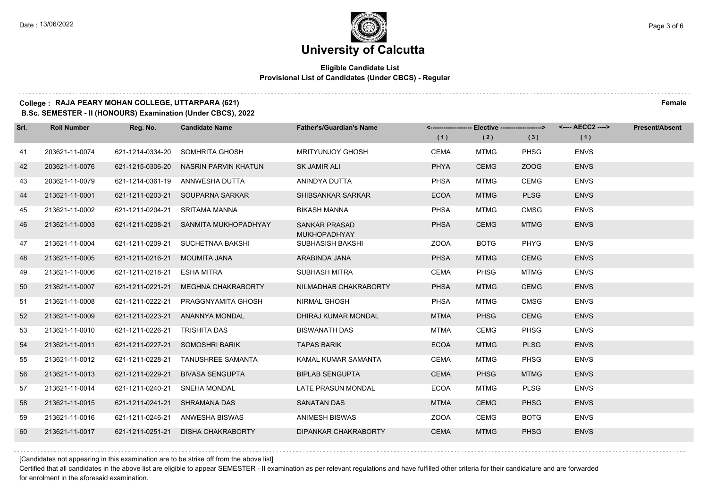#### **Eligible Candidate List Provisional List of Candidates (Under CBCS) - Regular**

#### **College : RAJA PEARY MOHAN COLLEGE, UTTARPARA (621) Female**

**B.Sc. SEMESTER - II (HONOURS) Examination (Under CBCS), 2022**

| Srl. | <b>Roll Number</b> | Reg. No.         | <b>Candidate Name</b>     | <b>Father's/Guardian's Name</b>             |             | <------------------- Elective ------------------> |             | <---- AECC2 ----> | <b>Present/Absent</b> |
|------|--------------------|------------------|---------------------------|---------------------------------------------|-------------|---------------------------------------------------|-------------|-------------------|-----------------------|
|      |                    |                  |                           |                                             | (1)         | (2)                                               | (3)         | (1)               |                       |
| 41   | 203621-11-0074     | 621-1214-0334-20 | SOMHRITA GHOSH            | <b>MRITYUNJOY GHOSH</b>                     | <b>CEMA</b> | <b>MTMG</b>                                       | <b>PHSG</b> | <b>ENVS</b>       |                       |
| 42   | 203621-11-0076     | 621-1215-0306-20 | NASRIN PARVIN KHATUN      | <b>SK JAMIR ALI</b>                         | <b>PHYA</b> | <b>CEMG</b>                                       | ZOOG        | <b>ENVS</b>       |                       |
| 43   | 203621-11-0079     | 621-1214-0361-19 | ANNWESHA DUTTA            | ANINDYA DUTTA                               | <b>PHSA</b> | <b>MTMG</b>                                       | <b>CEMG</b> | <b>ENVS</b>       |                       |
| 44   | 213621-11-0001     | 621-1211-0203-21 | SOUPARNA SARKAR           | SHIBSANKAR SARKAR                           | <b>ECOA</b> | <b>MTMG</b>                                       | <b>PLSG</b> | <b>ENVS</b>       |                       |
| 45   | 213621-11-0002     | 621-1211-0204-21 | <b>SRITAMA MANNA</b>      | <b>BIKASH MANNA</b>                         | <b>PHSA</b> | <b>MTMG</b>                                       | <b>CMSG</b> | <b>ENVS</b>       |                       |
| 46   | 213621-11-0003     | 621-1211-0208-21 | SANMITA MUKHOPADHYAY      | <b>SANKAR PRASAD</b><br><b>MUKHOPADHYAY</b> | <b>PHSA</b> | <b>CEMG</b>                                       | <b>MTMG</b> | <b>ENVS</b>       |                       |
| 47   | 213621-11-0004     | 621-1211-0209-21 | SUCHETNAA BAKSHI          | SUBHASISH BAKSHI                            | <b>ZOOA</b> | <b>BOTG</b>                                       | <b>PHYG</b> | <b>ENVS</b>       |                       |
| 48   | 213621-11-0005     | 621-1211-0216-21 | MOUMITA JANA              | ARABINDA JANA                               | <b>PHSA</b> | <b>MTMG</b>                                       | <b>CEMG</b> | <b>ENVS</b>       |                       |
| 49   | 213621-11-0006     | 621-1211-0218-21 | ESHA MITRA                | <b>SUBHASH MITRA</b>                        | <b>CEMA</b> | <b>PHSG</b>                                       | <b>MTMG</b> | <b>ENVS</b>       |                       |
| 50   | 213621-11-0007     | 621-1211-0221-21 | <b>MEGHNA CHAKRABORTY</b> | NILMADHAB CHAKRABORTY                       | <b>PHSA</b> | <b>MTMG</b>                                       | <b>CEMG</b> | <b>ENVS</b>       |                       |
| 51   | 213621-11-0008     | 621-1211-0222-21 | PRAGGNYAMITA GHOSH        | <b>NIRMAL GHOSH</b>                         | <b>PHSA</b> | <b>MTMG</b>                                       | <b>CMSG</b> | <b>ENVS</b>       |                       |
| 52   | 213621-11-0009     | 621-1211-0223-21 | ANANNYA MONDAL            | DHIRAJ KUMAR MONDAL                         | <b>MTMA</b> | <b>PHSG</b>                                       | <b>CEMG</b> | <b>ENVS</b>       |                       |
| 53   | 213621-11-0010     | 621-1211-0226-21 | <b>TRISHITA DAS</b>       | <b>BISWANATH DAS</b>                        | <b>MTMA</b> | <b>CEMG</b>                                       | <b>PHSG</b> | <b>ENVS</b>       |                       |
| 54   | 213621-11-0011     | 621-1211-0227-21 | SOMOSHRI BARIK            | <b>TAPAS BARIK</b>                          | <b>ECOA</b> | <b>MTMG</b>                                       | <b>PLSG</b> | <b>ENVS</b>       |                       |
| 55   | 213621-11-0012     | 621-1211-0228-21 | <b>TANUSHREE SAMANTA</b>  | KAMAL KUMAR SAMANTA                         | <b>CEMA</b> | <b>MTMG</b>                                       | <b>PHSG</b> | <b>ENVS</b>       |                       |
| 56   | 213621-11-0013     | 621-1211-0229-21 | <b>BIVASA SENGUPTA</b>    | <b>BIPLAB SENGUPTA</b>                      | <b>CEMA</b> | <b>PHSG</b>                                       | <b>MTMG</b> | <b>ENVS</b>       |                       |
| 57   | 213621-11-0014     | 621-1211-0240-21 | <b>SNEHA MONDAL</b>       | <b>LATE PRASUN MONDAL</b>                   | <b>ECOA</b> | <b>MTMG</b>                                       | <b>PLSG</b> | <b>ENVS</b>       |                       |
| 58   | 213621-11-0015     | 621-1211-0241-21 | SHRAMANA DAS              | <b>SANATAN DAS</b>                          | <b>MTMA</b> | <b>CEMG</b>                                       | <b>PHSG</b> | <b>ENVS</b>       |                       |
| 59   | 213621-11-0016     | 621-1211-0246-21 | ANWESHA BISWAS            | <b>ANIMESH BISWAS</b>                       | <b>ZOOA</b> | CEMG                                              | <b>BOTG</b> | <b>ENVS</b>       |                       |
| 60   | 213621-11-0017     | 621-1211-0251-21 | <b>DISHA CHAKRABORTY</b>  | <b>DIPANKAR CHAKRABORTY</b>                 | <b>CEMA</b> | <b>MTMG</b>                                       | <b>PHSG</b> | <b>ENVS</b>       |                       |

[Candidates not appearing in this examination are to be strike off from the above list]

Certified that all candidates in the above list are eligible to appear SEMESTER - II examination as per relevant regulations and have fulfilled other criteria for their candidature and are forwarded for enrolment in the aforesaid examination.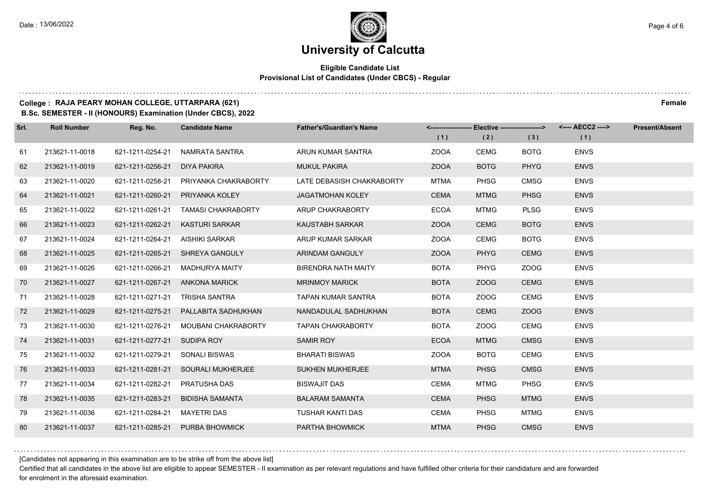#### **Eligible Candidate List Provisional List of Candidates (Under CBCS) - Regular**

#### **College : RAJA PEARY MOHAN COLLEGE, UTTARPARA (621) Female**

**B.Sc. SEMESTER - II (HONOURS) Examination (Under CBCS), 2022**

| Srl. | <b>Roll Number</b> | Reg. No.         | <b>Candidate Name</b>      | <b>Father's/Guardian's Name</b> |             | <------------------- Elective ------------------> |             |             | <b>Present/Absent</b> |
|------|--------------------|------------------|----------------------------|---------------------------------|-------------|---------------------------------------------------|-------------|-------------|-----------------------|
|      |                    |                  |                            |                                 | (1)         | (2)                                               | (3)         | (1)         |                       |
| 61   | 213621-11-0018     | 621-1211-0254-21 | NAMRATA SANTRA             | ARUN KUMAR SANTRA               | <b>ZOOA</b> | <b>CEMG</b>                                       | <b>BOTG</b> | <b>ENVS</b> |                       |
| 62   | 213621-11-0019     | 621-1211-0256-21 | DIYA PAKIRA                | <b>MUKUL PAKIRA</b>             | <b>ZOOA</b> | <b>BOTG</b>                                       | <b>PHYG</b> | <b>ENVS</b> |                       |
| 63   | 213621-11-0020     | 621-1211-0258-21 | PRIYANKA CHAKRABORTY       | LATE DEBASISH CHAKRABORTY       | <b>MTMA</b> | <b>PHSG</b>                                       | <b>CMSG</b> | <b>ENVS</b> |                       |
| 64   | 213621-11-0021     | 621-1211-0260-21 | PRIYANKA KOLEY             | <b>JAGATMOHAN KOLEY</b>         | <b>CEMA</b> | <b>MTMG</b>                                       | <b>PHSG</b> | <b>ENVS</b> |                       |
| 65   | 213621-11-0022     | 621-1211-0261-21 | <b>TAMASI CHAKRABORTY</b>  | ARUP CHAKRABORTY                | <b>ECOA</b> | <b>MTMG</b>                                       | <b>PLSG</b> | <b>ENVS</b> |                       |
| 66   | 213621-11-0023     | 621-1211-0262-21 | <b>KASTURI SARKAR</b>      | KAUSTABH SARKAR                 | <b>ZOOA</b> | <b>CEMG</b>                                       | <b>BOTG</b> | <b>ENVS</b> |                       |
| 67   | 213621-11-0024     | 621-1211-0264-21 | AISHIKI SARKAR             | ARUP KUMAR SARKAR               | <b>ZOOA</b> | <b>CEMG</b>                                       | <b>BOTG</b> | <b>ENVS</b> |                       |
| 68   | 213621-11-0025     | 621-1211-0265-21 | SHREYA GANGULY             | <b>ARINDAM GANGULY</b>          | <b>ZOOA</b> | <b>PHYG</b>                                       | <b>CEMG</b> | <b>ENVS</b> |                       |
| 69   | 213621-11-0026     | 621-1211-0266-21 | <b>MADHURYA MAITY</b>      | <b>BIRENDRA NATH MAITY</b>      | <b>BOTA</b> | <b>PHYG</b>                                       | ZOOG        | <b>ENVS</b> |                       |
| 70   | 213621-11-0027     | 621-1211-0267-21 | ANKONA MARICK              | <b>MRINMOY MARICK</b>           | <b>BOTA</b> | ZOOG                                              | <b>CEMG</b> | <b>ENVS</b> |                       |
| 71   | 213621-11-0028     | 621-1211-0271-21 | TRISHA SANTRA              | <b>TAPAN KUMAR SANTRA</b>       | <b>BOTA</b> | ZOOG                                              | <b>CEMG</b> | <b>ENVS</b> |                       |
| 72   | 213621-11-0029     | 621-1211-0275-21 | PALLABITA SADHUKHAN        | NANDADULAL SADHUKHAN            | <b>BOTA</b> | <b>CEMG</b>                                       | ZOOG        | <b>ENVS</b> |                       |
| 73   | 213621-11-0030     | 621-1211-0276-21 | <b>MOUBANI CHAKRABORTY</b> | <b>TAPAN CHAKRABORTY</b>        | <b>BOTA</b> | ZOOG                                              | <b>CEMG</b> | <b>ENVS</b> |                       |
| 74   | 213621-11-0031     | 621-1211-0277-21 | SUDIPA ROY                 | <b>SAMIR ROY</b>                | <b>ECOA</b> | <b>MTMG</b>                                       | <b>CMSG</b> | <b>ENVS</b> |                       |
| 75   | 213621-11-0032     | 621-1211-0279-21 | SONALI BISWAS              | <b>BHARATI BISWAS</b>           | <b>ZOOA</b> | <b>BOTG</b>                                       | <b>CEMG</b> | <b>ENVS</b> |                       |
| 76   | 213621-11-0033     | 621-1211-0281-21 | SOURALI MUKHERJEE          | <b>SUKHEN MUKHERJEE</b>         | <b>MTMA</b> | <b>PHSG</b>                                       | <b>CMSG</b> | <b>ENVS</b> |                       |
| 77   | 213621-11-0034     | 621-1211-0282-21 | PRATUSHA DAS               | <b>BISWAJIT DAS</b>             | <b>CEMA</b> | <b>MTMG</b>                                       | PHSG        | <b>ENVS</b> |                       |
| 78   | 213621-11-0035     | 621-1211-0283-21 | <b>BIDISHA SAMANTA</b>     | <b>BALARAM SAMANTA</b>          | <b>CEMA</b> | <b>PHSG</b>                                       | <b>MTMG</b> | <b>ENVS</b> |                       |
| 79   | 213621-11-0036     | 621-1211-0284-21 | MAYETRI DAS                | TUSHAR KANTI DAS                | <b>CEMA</b> | <b>PHSG</b>                                       | <b>MTMG</b> | <b>ENVS</b> |                       |
| 80   | 213621-11-0037     | 621-1211-0285-21 | PURBA BHOWMICK             | PARTHA BHOWMICK                 | <b>MTMA</b> | <b>PHSG</b>                                       | <b>CMSG</b> | <b>ENVS</b> |                       |

[Candidates not appearing in this examination are to be strike off from the above list]

Certified that all candidates in the above list are eligible to appear SEMESTER - II examination as per relevant regulations and have fulfilled other criteria for their candidature and are forwarded for enrolment in the aforesaid examination.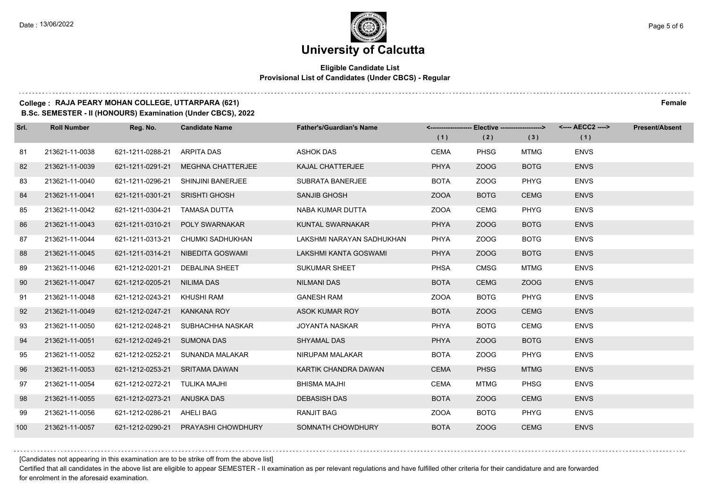#### **Eligible Candidate List Provisional List of Candidates (Under CBCS) - Regular**

#### **College : RAJA PEARY MOHAN COLLEGE, UTTARPARA (621) Female**

**B.Sc. SEMESTER - II (HONOURS) Examination (Under CBCS), 2022**

| Srl. | <b>Roll Number</b> | Reg. No.                       | <b>Candidate Name</b>             | <b>Father's/Guardian's Name</b> |             | <------------------- Elective ------------------> |             |             | <b>Present/Absent</b> |
|------|--------------------|--------------------------------|-----------------------------------|---------------------------------|-------------|---------------------------------------------------|-------------|-------------|-----------------------|
|      |                    |                                |                                   |                                 | (1)         | (2)                                               | (3)         | (1)         |                       |
| 81   | 213621-11-0038     | 621-1211-0288-21               | ARPITA DAS                        | <b>ASHOK DAS</b>                | <b>CEMA</b> | <b>PHSG</b>                                       | <b>MTMG</b> | <b>ENVS</b> |                       |
| 82   | 213621-11-0039     | 621-1211-0291-21               | <b>MEGHNA CHATTERJEE</b>          | KAJAL CHATTERJEE                | <b>PHYA</b> | ZOOG                                              | <b>BOTG</b> | <b>ENVS</b> |                       |
| 83   | 213621-11-0040     | 621-1211-0296-21               | SHINJINI BANERJEE                 | <b>SUBRATA BANERJEE</b>         | <b>BOTA</b> | ZOOG                                              | <b>PHYG</b> | <b>ENVS</b> |                       |
| 84   | 213621-11-0041     | 621-1211-0301-21 SRISHTI GHOSH |                                   | SANJIB GHOSH                    | <b>ZOOA</b> | <b>BOTG</b>                                       | <b>CEMG</b> | <b>ENVS</b> |                       |
| 85   | 213621-11-0042     | 621-1211-0304-21               | TAMASA DUTTA                      | NABA KUMAR DUTTA                | <b>ZOOA</b> | CEMG                                              | <b>PHYG</b> | <b>ENVS</b> |                       |
| 86   | 213621-11-0043     | 621-1211-0310-21               | <b>POLY SWARNAKAR</b>             | KUNTAL SWARNAKAR                | <b>PHYA</b> | ZOOG                                              | <b>BOTG</b> | <b>ENVS</b> |                       |
| 87   | 213621-11-0044     |                                | 621-1211-0313-21 CHUMKI SADHUKHAN | LAKSHMI NARAYAN SADHUKHAN       | <b>PHYA</b> | ZOOG                                              | <b>BOTG</b> | <b>ENVS</b> |                       |
| 88   | 213621-11-0045     | 621-1211-0314-21               | NIBEDITA GOSWAMI                  | LAKSHMI KANTA GOSWAMI           | <b>PHYA</b> | ZOOG                                              | <b>BOTG</b> | <b>ENVS</b> |                       |
| 89   | 213621-11-0046     | 621-1212-0201-21               | <b>DEBALINA SHEET</b>             | <b>SUKUMAR SHEET</b>            | <b>PHSA</b> | <b>CMSG</b>                                       | <b>MTMG</b> | <b>ENVS</b> |                       |
| 90   | 213621-11-0047     | 621-1212-0205-21               | NILIMA DAS                        | <b>NILMANI DAS</b>              | <b>BOTA</b> | <b>CEMG</b>                                       | ZOOG        | <b>ENVS</b> |                       |
| 91   | 213621-11-0048     | 621-1212-0243-21 KHUSHI RAM    |                                   | <b>GANESH RAM</b>               | <b>ZOOA</b> | <b>BOTG</b>                                       | PHYG        | <b>ENVS</b> |                       |
| 92   | 213621-11-0049     | 621-1212-0247-21               | KANKANA ROY                       | ASOK KUMAR ROY                  | <b>BOTA</b> | ZOOG                                              | <b>CEMG</b> | <b>ENVS</b> |                       |
| 93   | 213621-11-0050     | 621-1212-0248-21               | SUBHACHHA NASKAR                  | <b>JOYANTA NASKAR</b>           | <b>PHYA</b> | <b>BOTG</b>                                       | <b>CEMG</b> | <b>ENVS</b> |                       |
| 94   | 213621-11-0051     | 621-1212-0249-21               | <b>SUMONA DAS</b>                 | SHYAMAL DAS                     | <b>PHYA</b> | ZOOG                                              | <b>BOTG</b> | <b>ENVS</b> |                       |
| 95   | 213621-11-0052     | 621-1212-0252-21               | SUNANDA MALAKAR                   | NIRUPAM MALAKAR                 | <b>BOTA</b> | ZOOG                                              | <b>PHYG</b> | <b>ENVS</b> |                       |
| 96   | 213621-11-0053     | 621-1212-0253-21               | SRITAMA DAWAN                     | KARTIK CHANDRA DAWAN            | <b>CEMA</b> | <b>PHSG</b>                                       | <b>MTMG</b> | <b>ENVS</b> |                       |
| 97   | 213621-11-0054     | 621-1212-0272-21               | TULIKA MAJHI                      | <b>BHISMA MAJHI</b>             | <b>CEMA</b> | <b>MTMG</b>                                       | <b>PHSG</b> | <b>ENVS</b> |                       |
| 98   | 213621-11-0055     | 621-1212-0273-21 ANUSKA DAS    |                                   | <b>DEBASISH DAS</b>             | <b>BOTA</b> | ZOOG                                              | <b>CEMG</b> | <b>ENVS</b> |                       |
| 99   | 213621-11-0056     | 621-1212-0286-21 AHELI BAG     |                                   | <b>RANJIT BAG</b>               | <b>ZOOA</b> | <b>BOTG</b>                                       | PHYG        | <b>ENVS</b> |                       |
| 100  | 213621-11-0057     | 621-1212-0290-21               | <b>PRAYASHI CHOWDHURY</b>         | SOMNATH CHOWDHURY               | <b>BOTA</b> | ZOOG                                              | <b>CEMG</b> | <b>ENVS</b> |                       |

[Candidates not appearing in this examination are to be strike off from the above list]

Certified that all candidates in the above list are eligible to appear SEMESTER - II examination as per relevant regulations and have fulfilled other criteria for their candidature and are forwarded for enrolment in the aforesaid examination.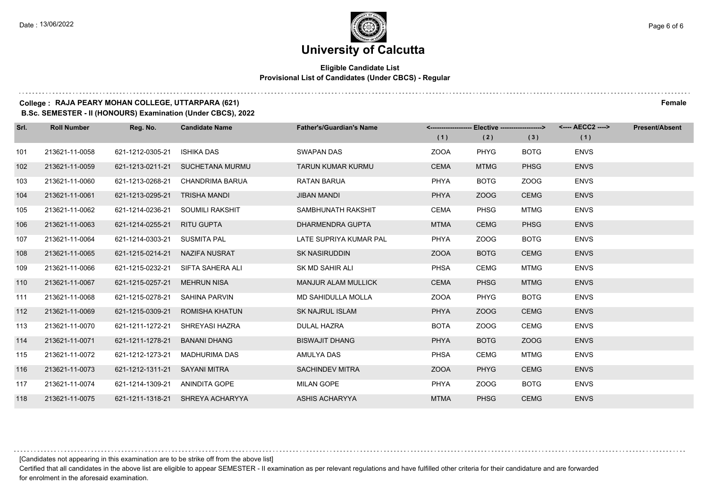#### **Eligible Candidate List Provisional List of Candidates (Under CBCS) - Regular**

#### **College : RAJA PEARY MOHAN COLLEGE, UTTARPARA (621) Female**

**B.Sc. SEMESTER - II (HONOURS) Examination (Under CBCS), 2022**

| Srl. | <b>Roll Number</b> | Reg. No.                       | <b>Candidate Name</b>            | <b>Father's/Guardian's Name</b> |             | <-------------------- Elective ------------------> |             | <---- AECC2 ----> | <b>Present/Absent</b> |
|------|--------------------|--------------------------------|----------------------------------|---------------------------------|-------------|----------------------------------------------------|-------------|-------------------|-----------------------|
|      |                    |                                |                                  |                                 | (1)         | (2)                                                | (3)         | (1)               |                       |
| 101  | 213621-11-0058     | 621-1212-0305-21               | <b>ISHIKA DAS</b>                | <b>SWAPAN DAS</b>               | <b>ZOOA</b> | PHYG                                               | <b>BOTG</b> | <b>ENVS</b>       |                       |
| 102  | 213621-11-0059     |                                | 621-1213-0211-21 SUCHETANA MURMU | <b>TARUN KUMAR KURMU</b>        | <b>CEMA</b> | <b>MTMG</b>                                        | <b>PHSG</b> | <b>ENVS</b>       |                       |
| 103  | 213621-11-0060     | 621-1213-0268-21               | CHANDRIMA BARUA                  | RATAN BARUA                     | <b>PHYA</b> | <b>BOTG</b>                                        | ZOOG        | <b>ENVS</b>       |                       |
| 104  | 213621-11-0061     | 621-1213-0295-21               | TRISHA MANDI                     | <b>JIBAN MANDI</b>              | <b>PHYA</b> | ZOOG                                               | <b>CEMG</b> | <b>ENVS</b>       |                       |
| 105  | 213621-11-0062     | 621-1214-0236-21               | SOUMILI RAKSHIT                  | SAMBHUNATH RAKSHIT              | <b>CEMA</b> | <b>PHSG</b>                                        | <b>MTMG</b> | <b>ENVS</b>       |                       |
| 106  | 213621-11-0063     | 621-1214-0255-21               | RITU GUPTA                       | DHARMENDRA GUPTA                | <b>MTMA</b> | <b>CEMG</b>                                        | <b>PHSG</b> | <b>ENVS</b>       |                       |
| 107  | 213621-11-0064     | 621-1214-0303-21               | SUSMITA PAL                      | LATE SUPRIYA KUMAR PAL          | <b>PHYA</b> | ZOOG                                               | <b>BOTG</b> | <b>ENVS</b>       |                       |
| 108  | 213621-11-0065     | 621-1215-0214-21               | NAZIFA NUSRAT                    | <b>SK NASIRUDDIN</b>            | <b>ZOOA</b> | <b>BOTG</b>                                        | <b>CEMG</b> | <b>ENVS</b>       |                       |
| 109  | 213621-11-0066     | 621-1215-0232-21               | SIFTA SAHERA ALI                 | SK MD SAHIR ALI                 | <b>PHSA</b> | CEMG                                               | <b>MTMG</b> | <b>ENVS</b>       |                       |
| 110  | 213621-11-0067     | 621-1215-0257-21               | <b>MEHRUN NISA</b>               | <b>MANJUR ALAM MULLICK</b>      | <b>CEMA</b> | <b>PHSG</b>                                        | <b>MTMG</b> | <b>ENVS</b>       |                       |
| 111  | 213621-11-0068     | 621-1215-0278-21               | <b>SAHINA PARVIN</b>             | <b>MD SAHIDULLA MOLLA</b>       | <b>ZOOA</b> | <b>PHYG</b>                                        | <b>BOTG</b> | <b>ENVS</b>       |                       |
| 112  | 213621-11-0069     | 621-1215-0309-21               | <b>ROMISHA KHATUN</b>            | <b>SK NAJRUL ISLAM</b>          | <b>PHYA</b> | ZOOG                                               | <b>CEMG</b> | <b>ENVS</b>       |                       |
| 113  | 213621-11-0070     | 621-1211-1272-21               | SHREYASI HAZRA                   | <b>DULAL HAZRA</b>              | <b>BOTA</b> | ZOOG                                               | <b>CEMG</b> | <b>ENVS</b>       |                       |
| 114  | 213621-11-0071     | 621-1211-1278-21               | <b>BANANI DHANG</b>              | <b>BISWAJIT DHANG</b>           | <b>PHYA</b> | <b>BOTG</b>                                        | ZOOG        | <b>ENVS</b>       |                       |
| 115  | 213621-11-0072     | 621-1212-1273-21               | MADHURIMA DAS                    | AMULYA DAS                      | <b>PHSA</b> | <b>CEMG</b>                                        | <b>MTMG</b> | <b>ENVS</b>       |                       |
| 116  | 213621-11-0073     | 621-1212-1311-21 SAYANI MITRA  |                                  | <b>SACHINDEV MITRA</b>          | <b>ZOOA</b> | <b>PHYG</b>                                        | <b>CEMG</b> | <b>ENVS</b>       |                       |
| 117  | 213621-11-0074     | 621-1214-1309-21 ANINDITA GOPE |                                  | <b>MILAN GOPE</b>               | <b>PHYA</b> | ZOOG                                               | <b>BOTG</b> | <b>ENVS</b>       |                       |
| 118  | 213621-11-0075     |                                | 621-1211-1318-21 SHREYA ACHARYYA | <b>ASHIS ACHARYYA</b>           | <b>MTMA</b> | <b>PHSG</b>                                        | <b>CEMG</b> | <b>ENVS</b>       |                       |

[Candidates not appearing in this examination are to be strike off from the above list]

Certified that all candidates in the above list are eligible to appear SEMESTER - II examination as per relevant regulations and have fulfilled other criteria for their candidature and are forwarded for enrolment in the aforesaid examination.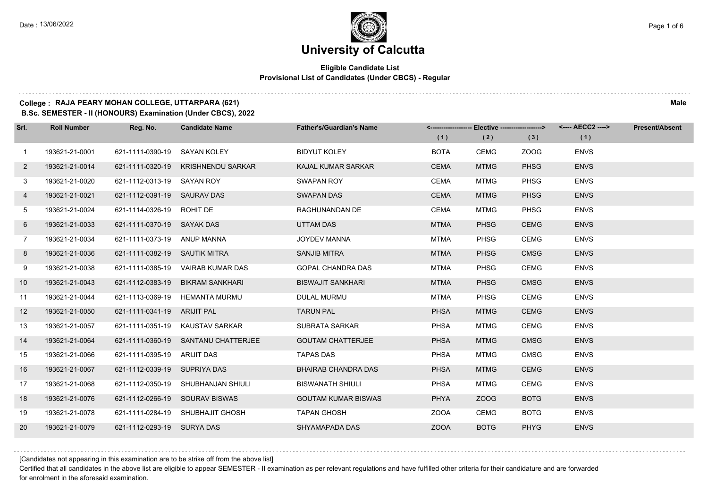#### **Eligible Candidate List Provisional List of Candidates (Under CBCS) - Regular**

#### **College : RAJA PEARY MOHAN COLLEGE, UTTARPARA (621) Male**

**B.Sc. SEMESTER - II (HONOURS) Examination (Under CBCS), 2022**

| Srl.         | <b>Roll Number</b> | Reg. No.                      | <b>Candidate Name</b>               | <b>Father's/Guardian's Name</b> |             | <-------------------- Elective -------------------> |             |             | <b>Present/Absent</b> |
|--------------|--------------------|-------------------------------|-------------------------------------|---------------------------------|-------------|-----------------------------------------------------|-------------|-------------|-----------------------|
|              |                    |                               |                                     |                                 | (1)         | (2)                                                 | (3)         | (1)         |                       |
| $\mathbf{1}$ | 193621-21-0001     | 621-1111-0390-19 SAYAN KOLEY  |                                     | <b>BIDYUT KOLEY</b>             | <b>BOTA</b> | CEMG                                                | ZOOG        | <b>ENVS</b> |                       |
| $\mathbf{2}$ | 193621-21-0014     |                               | 621-1111-0320-19 KRISHNENDU SARKAR  | <b>KAJAL KUMAR SARKAR</b>       | <b>CEMA</b> | <b>MTMG</b>                                         | <b>PHSG</b> | <b>ENVS</b> |                       |
| 3            | 193621-21-0020     | 621-1112-0313-19 SAYAN ROY    |                                     | <b>SWAPAN ROY</b>               | <b>CEMA</b> | <b>MTMG</b>                                         | <b>PHSG</b> | <b>ENVS</b> |                       |
| 4            | 193621-21-0021     | 621-1112-0391-19 SAURAV DAS   |                                     | SWAPAN DAS                      | <b>CEMA</b> | <b>MTMG</b>                                         | <b>PHSG</b> | <b>ENVS</b> |                       |
| 5            | 193621-21-0024     | 621-1114-0326-19 ROHIT DE     |                                     | RAGHUNANDAN DE                  | CEMA        | <b>MTMG</b>                                         | <b>PHSG</b> | <b>ENVS</b> |                       |
| 6            | 193621-21-0033     | 621-1111-0370-19 SAYAK DAS    |                                     | UTTAM DAS                       | <b>MTMA</b> | <b>PHSG</b>                                         | <b>CEMG</b> | <b>ENVS</b> |                       |
| $7^{\circ}$  | 193621-21-0034     | 621-1111-0373-19 ANUP MANNA   |                                     | <b>JOYDEV MANNA</b>             | MTMA        | <b>PHSG</b>                                         | <b>CEMG</b> | <b>ENVS</b> |                       |
| 8            | 193621-21-0036     | 621-1111-0382-19 SAUTIK MITRA |                                     | <b>SANJIB MITRA</b>             | <b>MTMA</b> | <b>PHSG</b>                                         | <b>CMSG</b> | <b>ENVS</b> |                       |
| 9            | 193621-21-0038     |                               | 621-1111-0385-19 VAIRAB KUMAR DAS   | <b>GOPAL CHANDRA DAS</b>        | <b>MTMA</b> | <b>PHSG</b>                                         | CEMG        | <b>ENVS</b> |                       |
| 10           | 193621-21-0043     |                               | 621-1112-0383-19 BIKRAM SANKHARI    | <b>BISWAJIT SANKHARI</b>        | <b>MTMA</b> | <b>PHSG</b>                                         | <b>CMSG</b> | <b>ENVS</b> |                       |
| 11           | 193621-21-0044     |                               | 621-1113-0369-19 HEMANTA MURMU      | <b>DULAL MURMU</b>              | MTMA        | <b>PHSG</b>                                         | <b>CEMG</b> | <b>ENVS</b> |                       |
| 12           | 193621-21-0050     | 621-1111-0341-19 ARIJIT PAL   |                                     | <b>TARUN PAL</b>                | <b>PHSA</b> | <b>MTMG</b>                                         | <b>CEMG</b> | <b>ENVS</b> |                       |
| 13           | 193621-21-0057     |                               | 621-1111-0351-19 KAUSTAV SARKAR     | SUBRATA SARKAR                  | <b>PHSA</b> | <b>MTMG</b>                                         | CEMG        | <b>ENVS</b> |                       |
| 14           | 193621-21-0064     |                               | 621-1111-0360-19 SANTANU CHATTERJEE | <b>GOUTAM CHATTERJEE</b>        | <b>PHSA</b> | <b>MTMG</b>                                         | <b>CMSG</b> | <b>ENVS</b> |                       |
| 15           | 193621-21-0066     | 621-1111-0395-19 ARIJIT DAS   |                                     | <b>TAPAS DAS</b>                | <b>PHSA</b> | <b>MTMG</b>                                         | <b>CMSG</b> | <b>ENVS</b> |                       |
| 16           | 193621-21-0067     | 621-1112-0339-19 SUPRIYA DAS  |                                     | <b>BHAIRAB CHANDRA DAS</b>      | <b>PHSA</b> | <b>MTMG</b>                                         | <b>CEMG</b> | <b>ENVS</b> |                       |
| 17           | 193621-21-0068     |                               | 621-1112-0350-19 SHUBHANJAN SHIULI  | <b>BISWANATH SHIULI</b>         | <b>PHSA</b> | <b>MTMG</b>                                         | <b>CEMG</b> | <b>ENVS</b> |                       |
| 18           | 193621-21-0076     |                               | 621-1112-0266-19 SOURAV BISWAS      | <b>GOUTAM KUMAR BISWAS</b>      | <b>PHYA</b> | ZOOG                                                | <b>BOTG</b> | <b>ENVS</b> |                       |
| 19           | 193621-21-0078     |                               | 621-1111-0284-19 SHUBHAJIT GHOSH    | <b>TAPAN GHOSH</b>              | <b>ZOOA</b> | <b>CEMG</b>                                         | <b>BOTG</b> | <b>ENVS</b> |                       |
| 20           | 193621-21-0079     | 621-1112-0293-19 SURYA DAS    |                                     | SHYAMAPADA DAS                  | <b>ZOOA</b> | <b>BOTG</b>                                         | <b>PHYG</b> | <b>ENVS</b> |                       |

[Candidates not appearing in this examination are to be strike off from the above list]

Certified that all candidates in the above list are eligible to appear SEMESTER - II examination as per relevant regulations and have fulfilled other criteria for their candidature and are forwarded for enrolment in the aforesaid examination.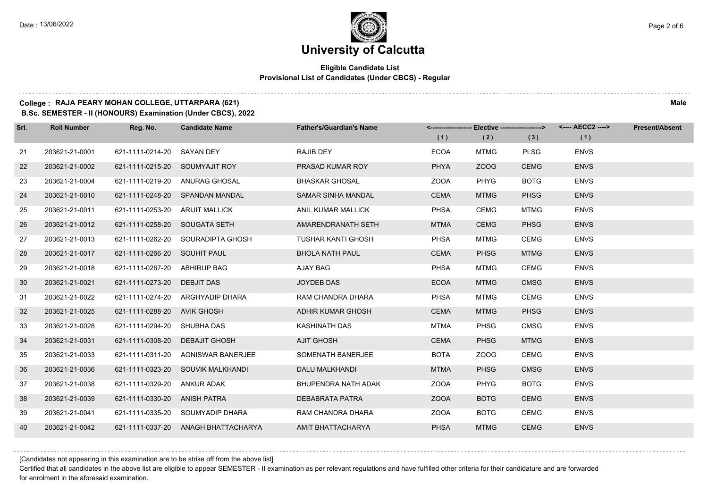#### **Eligible Candidate List Provisional List of Candidates (Under CBCS) - Regular**

#### **College : RAJA PEARY MOHAN COLLEGE, UTTARPARA (621) Male**

**B.Sc. SEMESTER - II (HONOURS) Examination (Under CBCS), 2022**

| Srl. | <b>Roll Number</b> | Reg. No.                       | <b>Candidate Name</b>               | <b>Father's/Guardian's Name</b> |             | <------------------- Elective ------------------> |             |             | <b>Present/Absent</b> |
|------|--------------------|--------------------------------|-------------------------------------|---------------------------------|-------------|---------------------------------------------------|-------------|-------------|-----------------------|
|      |                    |                                |                                     |                                 | (1)         | (2)                                               | (3)         | (1)         |                       |
| 21   | 203621-21-0001     | 621-1111-0214-20 SAYAN DEY     |                                     | <b>RAJIB DEY</b>                | <b>ECOA</b> | <b>MTMG</b>                                       | <b>PLSG</b> | <b>ENVS</b> |                       |
| 22   | 203621-21-0002     | 621-1111-0215-20 SOUMYAJIT ROY |                                     | PRASAD KUMAR ROY                | <b>PHYA</b> | ZOOG                                              | <b>CEMG</b> | <b>ENVS</b> |                       |
| 23   | 203621-21-0004     |                                | 621-1111-0219-20 ANURAG GHOSAL      | <b>BHASKAR GHOSAL</b>           | ZOOA        | <b>PHYG</b>                                       | <b>BOTG</b> | <b>ENVS</b> |                       |
| 24   | 203621-21-0010     |                                | 621-1111-0248-20 SPANDAN MANDAL     | <b>SAMAR SINHA MANDAL</b>       | <b>CEMA</b> | <b>MTMG</b>                                       | <b>PHSG</b> | <b>ENVS</b> |                       |
| 25   | 203621-21-0011     | 621-1111-0253-20               | <b>ARIJIT MALLICK</b>               | ANIL KUMAR MALLICK              | <b>PHSA</b> | CEMG                                              | <b>MTMG</b> | <b>ENVS</b> |                       |
| 26   | 203621-21-0012     | 621-1111-0258-20 SOUGATA SETH  |                                     | AMARENDRANATH SETH              | <b>MTMA</b> | <b>CEMG</b>                                       | <b>PHSG</b> | <b>ENVS</b> |                       |
| 27   | 203621-21-0013     |                                | 621-1111-0262-20 SOURADIPTA GHOSH   | <b>TUSHAR KANTI GHOSH</b>       | <b>PHSA</b> | <b>MTMG</b>                                       | CEMG        | <b>ENVS</b> |                       |
| 28   | 203621-21-0017     | 621-1111-0266-20 SOUHIT PAUL   |                                     | <b>BHOLA NATH PAUL</b>          | <b>CEMA</b> | <b>PHSG</b>                                       | <b>MTMG</b> | <b>ENVS</b> |                       |
| 29   | 203621-21-0018     | 621-1111-0267-20               | ABHIRUP BAG                         | AJAY BAG                        | <b>PHSA</b> | <b>MTMG</b>                                       | <b>CEMG</b> | <b>ENVS</b> |                       |
| 30   | 203621-21-0021     | 621-1111-0273-20 DEBJIT DAS    |                                     | <b>JOYDEB DAS</b>               | <b>ECOA</b> | <b>MTMG</b>                                       | <b>CMSG</b> | <b>ENVS</b> |                       |
| 31   | 203621-21-0022     |                                | 621-1111-0274-20 ARGHYADIP DHARA    | RAM CHANDRA DHARA               | <b>PHSA</b> | <b>MTMG</b>                                       | <b>CEMG</b> | <b>ENVS</b> |                       |
| 32   | 203621-21-0025     | 621-1111-0288-20 AVIK GHOSH    |                                     | <b>ADHIR KUMAR GHOSH</b>        | <b>CEMA</b> | <b>MTMG</b>                                       | <b>PHSG</b> | <b>ENVS</b> |                       |
| 33   | 203621-21-0028     | 621-1111-0294-20 SHUBHA DAS    |                                     | KASHINATH DAS                   | <b>MTMA</b> | PHSG                                              | <b>CMSG</b> | <b>ENVS</b> |                       |
| 34   | 203621-21-0031     | 621-1111-0308-20               | <b>DEBAJIT GHOSH</b>                | <b>AJIT GHOSH</b>               | <b>CEMA</b> | <b>PHSG</b>                                       | <b>MTMG</b> | <b>ENVS</b> |                       |
| 35   | 203621-21-0033     |                                | 621-1111-0311-20 AGNISWAR BANERJEE  | SOMENATH BANERJEE               | <b>BOTA</b> | ZOOG                                              | <b>CEMG</b> | <b>ENVS</b> |                       |
| 36   | 203621-21-0036     |                                | 621-1111-0323-20 SOUVIK MALKHANDI   | DALU MALKHANDI                  | <b>MTMA</b> | <b>PHSG</b>                                       | <b>CMSG</b> | <b>ENVS</b> |                       |
| 37   | 203621-21-0038     | 621-1111-0329-20 ANKUR ADAK    |                                     | BHUPENDRA NATH ADAK             | <b>ZOOA</b> | <b>PHYG</b>                                       | <b>BOTG</b> | <b>ENVS</b> |                       |
| 38   | 203621-21-0039     | 621-1111-0330-20 ANISH PATRA   |                                     | <b>DEBABRATA PATRA</b>          | <b>ZOOA</b> | <b>BOTG</b>                                       | <b>CEMG</b> | <b>ENVS</b> |                       |
| 39   | 203621-21-0041     |                                | 621-1111-0335-20 SOUMYADIP DHARA    | RAM CHANDRA DHARA               | <b>ZOOA</b> | <b>BOTG</b>                                       | CEMG        | <b>ENVS</b> |                       |
| 40   | 203621-21-0042     |                                | 621-1111-0337-20 ANAGH BHATTACHARYA | AMIT BHATTACHARYA               | <b>PHSA</b> | <b>MTMG</b>                                       | <b>CEMG</b> | <b>ENVS</b> |                       |

[Candidates not appearing in this examination are to be strike off from the above list]

Certified that all candidates in the above list are eligible to appear SEMESTER - II examination as per relevant regulations and have fulfilled other criteria for their candidature and are forwarded for enrolment in the aforesaid examination.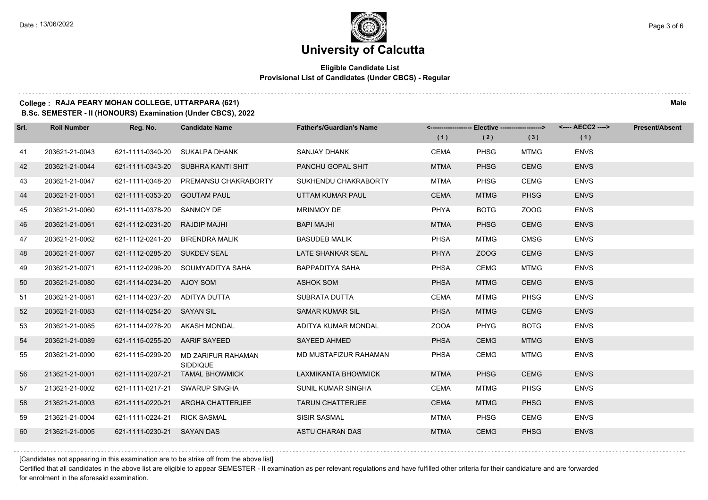#### **Eligible Candidate List Provisional List of Candidates (Under CBCS) - Regular**

#### **College : RAJA PEARY MOHAN COLLEGE, UTTARPARA (621) Male**

**B.Sc. SEMESTER - II (HONOURS) Examination (Under CBCS), 2022**

| Srl. | <b>Roll Number</b> | Reg. No.                      | <b>Candidate Name</b>                 | <b>Father's/Guardian's Name</b> |             |             | <-------------------- Elective ------------------> <---- AECC2 ----> |             | <b>Present/Absent</b> |
|------|--------------------|-------------------------------|---------------------------------------|---------------------------------|-------------|-------------|----------------------------------------------------------------------|-------------|-----------------------|
|      |                    |                               |                                       |                                 | (1)         | (2)         | (3)                                                                  | (1)         |                       |
| 41   | 203621-21-0043     | 621-1111-0340-20              | SUKALPA DHANK                         | SANJAY DHANK                    | CEMA        | <b>PHSG</b> | <b>MTMG</b>                                                          | <b>ENVS</b> |                       |
| 42   | 203621-21-0044     |                               | 621-1111-0343-20 SUBHRA KANTI SHIT    | PANCHU GOPAL SHIT               | <b>MTMA</b> | <b>PHSG</b> | <b>CEMG</b>                                                          | <b>ENVS</b> |                       |
| 43   | 203621-21-0047     | 621-1111-0348-20              | PREMANSU CHAKRABORTY                  | SUKHENDU CHAKRABORTY            | <b>MTMA</b> | <b>PHSG</b> | <b>CEMG</b>                                                          | <b>ENVS</b> |                       |
| 44   | 203621-21-0051     | 621-1111-0353-20 GOUTAM PAUL  |                                       | UTTAM KUMAR PAUL                | <b>CEMA</b> | <b>MTMG</b> | <b>PHSG</b>                                                          | <b>ENVS</b> |                       |
| 45   | 203621-21-0060     | 621-1111-0378-20              | SANMOY DE                             | <b>MRINMOY DE</b>               | <b>PHYA</b> | <b>BOTG</b> | ZOOG                                                                 | <b>ENVS</b> |                       |
| 46   | 203621-21-0061     | 621-1112-0231-20              | <b>RAJDIP MAJHI</b>                   | <b>BAPI MAJHI</b>               | <b>MTMA</b> | <b>PHSG</b> | <b>CEMG</b>                                                          | <b>ENVS</b> |                       |
| 47   | 203621-21-0062     | 621-1112-0241-20              | BIRENDRA MALIK                        | <b>BASUDEB MALIK</b>            | <b>PHSA</b> | <b>MTMG</b> | <b>CMSG</b>                                                          | <b>ENVS</b> |                       |
| 48   | 203621-21-0067     | 621-1112-0285-20 SUKDEV SEAL  |                                       | <b>LATE SHANKAR SEAL</b>        | <b>PHYA</b> | ZOOG        | <b>CEMG</b>                                                          | <b>ENVS</b> |                       |
| 49   | 203621-21-0071     |                               | 621-1112-0296-20 SOUMYADITYA SAHA     | <b>BAPPADITYA SAHA</b>          | <b>PHSA</b> | <b>CEMG</b> | <b>MTMG</b>                                                          | <b>ENVS</b> |                       |
| 50   | 203621-21-0080     | 621-1114-0234-20 AJOY SOM     |                                       | <b>ASHOK SOM</b>                | <b>PHSA</b> | <b>MTMG</b> | <b>CEMG</b>                                                          | <b>ENVS</b> |                       |
| 51   | 203621-21-0081     | 621-1114-0237-20 ADITYA DUTTA |                                       | SUBRATA DUTTA                   | <b>CEMA</b> | <b>MTMG</b> | <b>PHSG</b>                                                          | <b>ENVS</b> |                       |
| 52   | 203621-21-0083     | 621-1114-0254-20 SAYAN SIL    |                                       | <b>SAMAR KUMAR SIL</b>          | <b>PHSA</b> | <b>MTMG</b> | <b>CEMG</b>                                                          | <b>ENVS</b> |                       |
| 53   | 203621-21-0085     | 621-1114-0278-20 AKASH MONDAL |                                       | ADITYA KUMAR MONDAL             | <b>ZOOA</b> | PHYG        | <b>BOTG</b>                                                          | <b>ENVS</b> |                       |
| 54   | 203621-21-0089     | 621-1115-0255-20 AARIF SAYEED |                                       | SAYEED AHMED                    | <b>PHSA</b> | <b>CEMG</b> | <b>MTMG</b>                                                          | <b>ENVS</b> |                       |
| 55   | 203621-21-0090     | 621-1115-0299-20              | MD ZARIFUR RAHAMAN<br><b>SIDDIQUE</b> | MD MUSTAFIZUR RAHAMAN           | <b>PHSA</b> | <b>CEMG</b> | <b>MTMG</b>                                                          | <b>ENVS</b> |                       |
| 56   | 213621-21-0001     |                               | 621-1111-0207-21 TAMAL BHOWMICK       | LAXMIKANTA BHOWMICK             | <b>MTMA</b> | <b>PHSG</b> | <b>CEMG</b>                                                          | <b>ENVS</b> |                       |
| 57   | 213621-21-0002     | 621-1111-0217-21              | SWARUP SINGHA                         | <b>SUNIL KUMAR SINGHA</b>       | CEMA        | MTMG        | <b>PHSG</b>                                                          | <b>ENVS</b> |                       |
| 58   | 213621-21-0003     | 621-1111-0220-21              | ARGHA CHATTERJEE                      | <b>TARUN CHATTERJEE</b>         | <b>CEMA</b> | <b>MTMG</b> | <b>PHSG</b>                                                          | <b>ENVS</b> |                       |
| 59   | 213621-21-0004     | 621-1111-0224-21              | <b>RICK SASMAL</b>                    | <b>SISIR SASMAL</b>             | MTMA        | <b>PHSG</b> | <b>CEMG</b>                                                          | <b>ENVS</b> |                       |
| 60   | 213621-21-0005     | 621-1111-0230-21 SAYAN DAS    |                                       | ASTU CHARAN DAS                 | <b>MTMA</b> | <b>CEMG</b> | <b>PHSG</b>                                                          | <b>ENVS</b> |                       |

[Candidates not appearing in this examination are to be strike off from the above list]

Certified that all candidates in the above list are eligible to appear SEMESTER - II examination as per relevant regulations and have fulfilled other criteria for their candidature and are forwarded for enrolment in the aforesaid examination.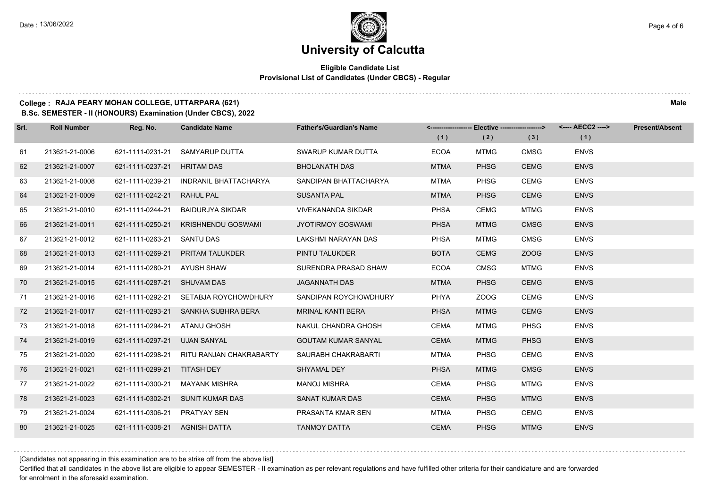#### **Eligible Candidate List Provisional List of Candidates (Under CBCS) - Regular**

#### **College : RAJA PEARY MOHAN COLLEGE, UTTARPARA (621) Male**

**B.Sc. SEMESTER - II (HONOURS) Examination (Under CBCS), 2022**

| Srl. | <b>Roll Number</b> | Reg. No.                      | <b>Candidate Name</b>   | <b>Father's/Guardian's Name</b> |             | <-------------------- Elective ------------------> |             |             | <b>Present/Absent</b> |
|------|--------------------|-------------------------------|-------------------------|---------------------------------|-------------|----------------------------------------------------|-------------|-------------|-----------------------|
|      |                    |                               |                         |                                 | (1)         | (2)                                                | (3)         | (1)         |                       |
| 61   | 213621-21-0006     | 621-1111-0231-21              | SAMYARUP DUTTA          | SWARUP KUMAR DUTTA              | <b>ECOA</b> | <b>MTMG</b>                                        | <b>CMSG</b> | <b>ENVS</b> |                       |
| 62   | 213621-21-0007     | 621-1111-0237-21              | <b>HRITAM DAS</b>       | <b>BHOLANATH DAS</b>            | <b>MTMA</b> | <b>PHSG</b>                                        | <b>CEMG</b> | <b>ENVS</b> |                       |
| 63   | 213621-21-0008     | 621-1111-0239-21              | INDRANIL BHATTACHARYA   | SANDIPAN BHATTACHARYA           | MTMA        | <b>PHSG</b>                                        | CEMG        | <b>ENVS</b> |                       |
| 64   | 213621-21-0009     | 621-1111-0242-21              | RAHUL PAL               | <b>SUSANTA PAL</b>              | <b>MTMA</b> | <b>PHSG</b>                                        | <b>CEMG</b> | <b>ENVS</b> |                       |
| 65   | 213621-21-0010     | 621-1111-0244-21              | BAIDURJYA SIKDAR        | <b>VIVEKANANDA SIKDAR</b>       | <b>PHSA</b> | CEMG                                               | MTMG        | <b>ENVS</b> |                       |
| 66   | 213621-21-0011     | 621-1111-0250-21              | KRISHNENDU GOSWAMI      | <b>JYOTIRMOY GOSWAMI</b>        | <b>PHSA</b> | <b>MTMG</b>                                        | <b>CMSG</b> | <b>ENVS</b> |                       |
| 67   | 213621-21-0012     | 621-1111-0263-21 SANTU DAS    |                         | LAKSHMI NARAYAN DAS             | <b>PHSA</b> | <b>MTMG</b>                                        | <b>CMSG</b> | <b>ENVS</b> |                       |
| 68   | 213621-21-0013     | 621-1111-0269-21              | <b>PRITAM TALUKDER</b>  | PINTU TALUKDER                  | <b>BOTA</b> | <b>CEMG</b>                                        | ZOOG        | <b>ENVS</b> |                       |
| 69   | 213621-21-0014     | 621-1111-0280-21              | AYUSH SHAW              | SURENDRA PRASAD SHAW            | <b>ECOA</b> | <b>CMSG</b>                                        | <b>MTMG</b> | <b>ENVS</b> |                       |
| 70   | 213621-21-0015     | 621-1111-0287-21              | <b>SHUVAM DAS</b>       | <b>JAGANNATH DAS</b>            | <b>MTMA</b> | <b>PHSG</b>                                        | <b>CEMG</b> | <b>ENVS</b> |                       |
| 71   | 213621-21-0016     | 621-1111-0292-21              | SETABJA ROYCHOWDHURY    | SANDIPAN ROYCHOWDHURY           | <b>PHYA</b> | ZOOG                                               | <b>CEMG</b> | <b>ENVS</b> |                       |
| 72   | 213621-21-0017     | 621-1111-0293-21              | SANKHA SUBHRA BERA      | <b>MRINAL KANTI BERA</b>        | <b>PHSA</b> | <b>MTMG</b>                                        | <b>CEMG</b> | <b>ENVS</b> |                       |
| 73   | 213621-21-0018     | 621-1111-0294-21              | <b>ATANU GHOSH</b>      | NAKUL CHANDRA GHOSH             | <b>CEMA</b> | <b>MTMG</b>                                        | <b>PHSG</b> | <b>ENVS</b> |                       |
| 74   | 213621-21-0019     | 621-1111-0297-21              | <b>UJAN SANYAL</b>      | <b>GOUTAM KUMAR SANYAL</b>      | <b>CEMA</b> | <b>MTMG</b>                                        | <b>PHSG</b> | <b>ENVS</b> |                       |
| 75   | 213621-21-0020     | 621-1111-0298-21              | RITU RANJAN CHAKRABARTY | SAURABH CHAKRABARTI             | <b>MTMA</b> | PHSG                                               | <b>CEMG</b> | <b>ENVS</b> |                       |
| 76   | 213621-21-0021     | 621-1111-0299-21 TITASH DEY   |                         | SHYAMAL DEY                     | <b>PHSA</b> | <b>MTMG</b>                                        | <b>CMSG</b> | <b>ENVS</b> |                       |
| 77   | 213621-21-0022     | 621-1111-0300-21              | <b>MAYANK MISHRA</b>    | <b>MANOJ MISHRA</b>             | <b>CEMA</b> | <b>PHSG</b>                                        | <b>MTMG</b> | <b>ENVS</b> |                       |
| 78   | 213621-21-0023     | 621-1111-0302-21              | SUNIT KUMAR DAS         | <b>SANAT KUMAR DAS</b>          | <b>CEMA</b> | <b>PHSG</b>                                        | <b>MTMG</b> | <b>ENVS</b> |                       |
| 79   | 213621-21-0024     | 621-1111-0306-21 PRATYAY SEN  |                         | PRASANTA KMAR SEN               | <b>MTMA</b> | <b>PHSG</b>                                        | <b>CEMG</b> | <b>ENVS</b> |                       |
| 80   | 213621-21-0025     | 621-1111-0308-21 AGNISH DATTA |                         | <b>TANMOY DATTA</b>             | <b>CEMA</b> | <b>PHSG</b>                                        | <b>MTMG</b> | <b>ENVS</b> |                       |

[Candidates not appearing in this examination are to be strike off from the above list]

Certified that all candidates in the above list are eligible to appear SEMESTER - II examination as per relevant regulations and have fulfilled other criteria for their candidature and are forwarded for enrolment in the aforesaid examination.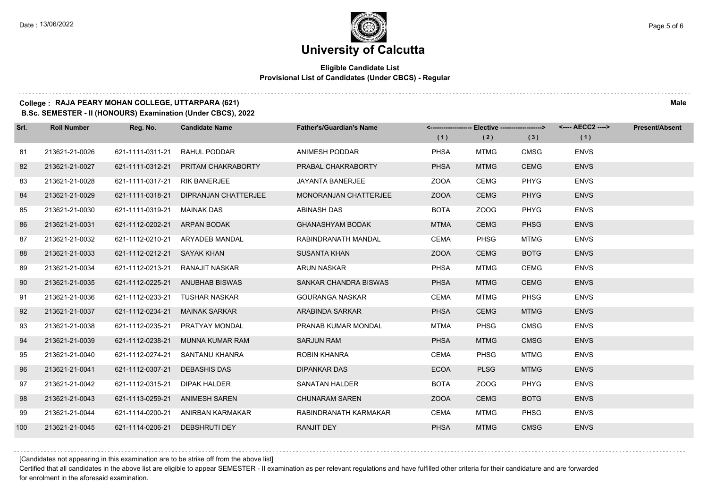#### **Eligible Candidate List Provisional List of Candidates (Under CBCS) - Regular**

#### **College : RAJA PEARY MOHAN COLLEGE, UTTARPARA (621) Male**

**B.Sc. SEMESTER - II (HONOURS) Examination (Under CBCS), 2022**

| Srl. | <b>Roll Number</b> | Reg. No.         | <b>Candidate Name</b> | <b>Father's/Guardian's Name</b> |             | <------------------- Elective ------------------> |             |             | <b>Present/Absent</b> |
|------|--------------------|------------------|-----------------------|---------------------------------|-------------|---------------------------------------------------|-------------|-------------|-----------------------|
|      |                    |                  |                       |                                 | (1)         | (2)                                               | (3)         | (1)         |                       |
| 81   | 213621-21-0026     | 621-1111-0311-21 | RAHUL PODDAR          | ANIMESH PODDAR                  | <b>PHSA</b> | <b>MTMG</b>                                       | <b>CMSG</b> | <b>ENVS</b> |                       |
| 82   | 213621-21-0027     | 621-1111-0312-21 | PRITAM CHAKRABORTY    | PRABAL CHAKRABORTY              | <b>PHSA</b> | <b>MTMG</b>                                       | <b>CEMG</b> | <b>ENVS</b> |                       |
| 83   | 213621-21-0028     | 621-1111-0317-21 | <b>RIK BANERJEE</b>   | JAYANTA BANERJEE                | <b>ZOOA</b> | CEMG                                              | <b>PHYG</b> | <b>ENVS</b> |                       |
| 84   | 213621-21-0029     | 621-1111-0318-21 | DIPRANJAN CHATTERJEE  | <b>MONORANJAN CHATTERJEE</b>    | <b>ZOOA</b> | <b>CEMG</b>                                       | <b>PHYG</b> | <b>ENVS</b> |                       |
| 85   | 213621-21-0030     | 621-1111-0319-21 | MAINAK DAS            | ABINASH DAS                     | <b>BOTA</b> | ZOOG                                              | <b>PHYG</b> | <b>ENVS</b> |                       |
| 86   | 213621-21-0031     | 621-1112-0202-21 | ARPAN BODAK           | <b>GHANASHYAM BODAK</b>         | <b>MTMA</b> | <b>CEMG</b>                                       | <b>PHSG</b> | <b>ENVS</b> |                       |
| 87   | 213621-21-0032     | 621-1112-0210-21 | ARYADEB MANDAL        | RABINDRANATH MANDAL             | <b>CEMA</b> | <b>PHSG</b>                                       | <b>MTMG</b> | <b>ENVS</b> |                       |
| 88   | 213621-21-0033     | 621-1112-0212-21 | SAYAK KHAN            | <b>SUSANTA KHAN</b>             | <b>ZOOA</b> | <b>CEMG</b>                                       | <b>BOTG</b> | <b>ENVS</b> |                       |
| 89   | 213621-21-0034     | 621-1112-0213-21 | RANAJIT NASKAR        | <b>ARUN NASKAR</b>              | <b>PHSA</b> | <b>MTMG</b>                                       | <b>CEMG</b> | <b>ENVS</b> |                       |
| 90   | 213621-21-0035     | 621-1112-0225-21 | ANUBHAB BISWAS        | SANKAR CHANDRA BISWAS           | <b>PHSA</b> | <b>MTMG</b>                                       | <b>CEMG</b> | <b>ENVS</b> |                       |
| 91   | 213621-21-0036     | 621-1112-0233-21 | <b>TUSHAR NASKAR</b>  | <b>GOURANGA NASKAR</b>          | CEMA        | <b>MTMG</b>                                       | <b>PHSG</b> | <b>ENVS</b> |                       |
| 92   | 213621-21-0037     | 621-1112-0234-21 | <b>MAINAK SARKAR</b>  | ARABINDA SARKAR                 | <b>PHSA</b> | <b>CEMG</b>                                       | <b>MTMG</b> | <b>ENVS</b> |                       |
| 93   | 213621-21-0038     | 621-1112-0235-21 | PRATYAY MONDAL        | PRANAB KUMAR MONDAL             | <b>MTMA</b> | PHSG                                              | <b>CMSG</b> | <b>ENVS</b> |                       |
| 94   | 213621-21-0039     | 621-1112-0238-21 | MUNNA KUMAR RAM       | <b>SARJUN RAM</b>               | <b>PHSA</b> | <b>MTMG</b>                                       | <b>CMSG</b> | <b>ENVS</b> |                       |
| 95   | 213621-21-0040     | 621-1112-0274-21 | SANTANU KHANRA        | <b>ROBIN KHANRA</b>             | <b>CEMA</b> | <b>PHSG</b>                                       | MTMG        | <b>ENVS</b> |                       |
| 96   | 213621-21-0041     | 621-1112-0307-21 | <b>DEBASHIS DAS</b>   | <b>DIPANKAR DAS</b>             | <b>ECOA</b> | <b>PLSG</b>                                       | <b>MTMG</b> | <b>ENVS</b> |                       |
| 97   | 213621-21-0042     | 621-1112-0315-21 | <b>DIPAK HALDER</b>   | <b>SANATAN HALDER</b>           | <b>BOTA</b> | ZOOG                                              | <b>PHYG</b> | <b>ENVS</b> |                       |
| 98   | 213621-21-0043     | 621-1113-0259-21 | <b>ANIMESH SAREN</b>  | <b>CHUNARAM SAREN</b>           | <b>ZOOA</b> | <b>CEMG</b>                                       | <b>BOTG</b> | <b>ENVS</b> |                       |
| 99   | 213621-21-0044     | 621-1114-0200-21 | ANIRBAN KARMAKAR      | RABINDRANATH KARMAKAR           | <b>CEMA</b> | <b>MTMG</b>                                       | <b>PHSG</b> | <b>ENVS</b> |                       |
| 100  | 213621-21-0045     | 621-1114-0206-21 | DEBSHRUTI DEY         | <b>RANJIT DEY</b>               | <b>PHSA</b> | <b>MTMG</b>                                       | <b>CMSG</b> | <b>ENVS</b> |                       |

[Candidates not appearing in this examination are to be strike off from the above list]

Certified that all candidates in the above list are eligible to appear SEMESTER - II examination as per relevant regulations and have fulfilled other criteria for their candidature and are forwarded for enrolment in the aforesaid examination.